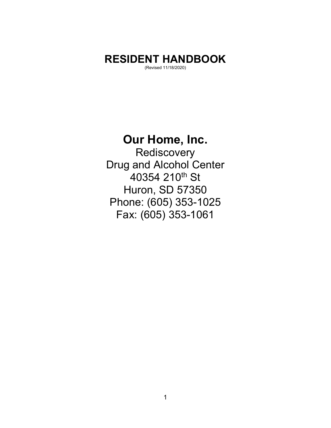# **RESIDENT HANDBOOK**

(Revised 11/18/2020)

# **Our Home, Inc.**

**Rediscovery** Drug and Alcohol Center 40354 210<sup>th</sup> St Huron, SD 57350 Phone: (605) 353-1025 Fax: (605) 353-1061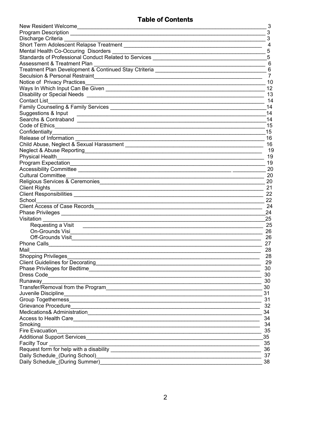# **Table of Contents**

|                                                                                                                                                                                                                                      | 3            |
|--------------------------------------------------------------------------------------------------------------------------------------------------------------------------------------------------------------------------------------|--------------|
|                                                                                                                                                                                                                                      | $\mathbf{3}$ |
| Discharge Criteria <b>contract and the Criteria</b> contract and the Criterian Contract and the Criteria contract of the                                                                                                             | $\mathbf{3}$ |
| Short Term Adolescent Relapse Treatment                                                                                                                                                                                              | 4            |
|                                                                                                                                                                                                                                      | 5            |
| Standards of Professional Conduct Related to Services                                                                                                                                                                                | 5            |
| Assessment & Treatment Plan                                                                                                                                                                                                          | 6            |
| Treatment Plan Development & Continued Stay Ctriteria Continued Contact Control of Contract Control of Continued Stay Ctriteria                                                                                                      |              |
|                                                                                                                                                                                                                                      | 7            |
| Notice of Privacy Practices <b>Constitution</b> Constitution and Constitution Constitution Constitution Constitution Constitution Constitution Constitution Constitution Constitution Constitution Constitution Constitution Consti  | 10           |
|                                                                                                                                                                                                                                      | 12           |
| Disability or Special Needs <b>contract to the Contract of Security Contract of Special Action</b>                                                                                                                                   | 13           |
| <b>Contact List</b>                                                                                                                                                                                                                  | 14           |
|                                                                                                                                                                                                                                      | 14           |
| Suggestions & Input                                                                                                                                                                                                                  | 14           |
|                                                                                                                                                                                                                                      | 14           |
|                                                                                                                                                                                                                                      | 15           |
|                                                                                                                                                                                                                                      | 15           |
|                                                                                                                                                                                                                                      | 16           |
|                                                                                                                                                                                                                                      |              |
|                                                                                                                                                                                                                                      | 16           |
|                                                                                                                                                                                                                                      | 19           |
| <b>Physical Health</b>                                                                                                                                                                                                               | 19           |
|                                                                                                                                                                                                                                      | 19           |
|                                                                                                                                                                                                                                      | 20           |
| <b>Cultural Committee</b>                                                                                                                                                                                                            | 20           |
|                                                                                                                                                                                                                                      | 20           |
|                                                                                                                                                                                                                                      | 21           |
|                                                                                                                                                                                                                                      | 22           |
| School__________                                                                                                                                                                                                                     | 22           |
|                                                                                                                                                                                                                                      | 24           |
|                                                                                                                                                                                                                                      | 24           |
| Visitation                                                                                                                                                                                                                           | 25           |
| Requesting a Visit 2000 Contract and the Requesting a Visit                                                                                                                                                                          | 25           |
|                                                                                                                                                                                                                                      | 26           |
|                                                                                                                                                                                                                                      | 26           |
|                                                                                                                                                                                                                                      | 27           |
| Mail                                                                                                                                                                                                                                 | 28           |
| Shopping Privileges_                                                                                                                                                                                                                 | 28           |
| <b>Client Guidelines for Decorating</b>                                                                                                                                                                                              | 29           |
| Phase Privileges for Bedtime                                                                                                                                                                                                         | 30           |
|                                                                                                                                                                                                                                      | 30           |
| Runaway                                                                                                                                                                                                                              | $=$ 30       |
|                                                                                                                                                                                                                                      | 30           |
| Juvenile Discipline                                                                                                                                                                                                                  | 31           |
|                                                                                                                                                                                                                                      | 31           |
| Grievance Procedure <b>Constitution of the Constitution of the Constitution of the Constitution of the Constitution</b>                                                                                                              | 32           |
|                                                                                                                                                                                                                                      | 34           |
|                                                                                                                                                                                                                                      | 34           |
| Smoking                                                                                                                                                                                                                              | 34           |
|                                                                                                                                                                                                                                      | 35           |
|                                                                                                                                                                                                                                      | 35           |
| Additional Support Services <b>Constantine Constantine Constantine Constantine Constantine Constantine Constantine Constantine Constantine Constantine Constantine Constantine Constantine Constantine Constantine Constantine C</b> |              |
|                                                                                                                                                                                                                                      | 35           |
|                                                                                                                                                                                                                                      | $-36$        |
|                                                                                                                                                                                                                                      | 37           |
| Daily Schedule (During Summer) Manual Communication of the Communication of the Communication of the Communication of the Communication of the Communication of the Communication of the Communication of the Communication of       | 38           |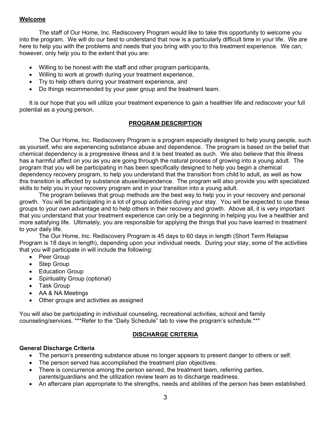# **Welcome**

 The staff of Our Home, Inc. Rediscovery Program would like to take this opportunity to welcome you into the program. We will do our best to understand that now is a particularly difficult time in your life. We are here to help you with the problems and needs that you bring with you to this treatment experience. We can, however, only help you to the extent that you are:

- Willing to be honest with the staff and other program participants,
- Willing to work at growth during your treatment experience,
- Try to help others during your treatment experience, and
- Do things recommended by your peer group and the treatment team.

It is our hope that you will utilize your treatment experience to gain a healthier life and rediscover your full potential as a young person.

# **PROGRAM DESCRIPTION**

 The Our Home, Inc. Rediscovery Program is a program especially designed to help young people, such as yourself, who are experiencing substance abuse and dependence. The program is based on the belief that chemical dependency is a progressive illness and it is best treated as such. We also believe that this illness has a harmful affect on you as you are going through the natural process of growing into a young adult. The program that you will be participating in has been specifically designed to help you begin a chemical dependency recovery program, to help you understand that the transition from child to adult, as well as how this transition is affected by substance abuse/dependence. The program will also provide you with specialized skills to help you in your recovery program and in your transition into a young adult.

 The program believes that group methods are the best way to help you in your recovery and personal growth. You will be participating in a lot of group activities during your stay. You will be expected to use these groups to your own advantage and to help others in their recovery and growth. Above all, it is very important that you understand that your treatment experience can only be a beginning in helping you live a healthier and more satisfying life. Ultimately, you are responsible for applying the things that you have learned in treatment to your daily life.

 The Our Home, Inc. Rediscovery Program is 45 days to 60 days in length (Short Term Relapse Program is 18 days in length), depending upon your individual needs. During your stay, some of the activities that you will participate in will include the following:

- Peer Group
- Step Group
- Education Group
- Spirituality Group (optional)
- Task Group
- AA & NA Meetings
- Other groups and activities as assigned

You will also be participating in individual counseling, recreational activities, school and family counseling/services. \*\*\*Refer to the "Daily Schedule" tab to view the program's schedule.\*\*\*

# **DISCHARGE CRITERIA**

#### **General Discharge Criteria**

- The person's presenting substance abuse no longer appears to present danger to others or self.
- The person served has accomplished the treatment plan objectives.
- There is concurrence among the person served, the treatment team, referring parties, parents/guardians and the utilization review team as to discharge readiness.
- An aftercare plan appropriate to the strengths, needs and abilities of the person has been established.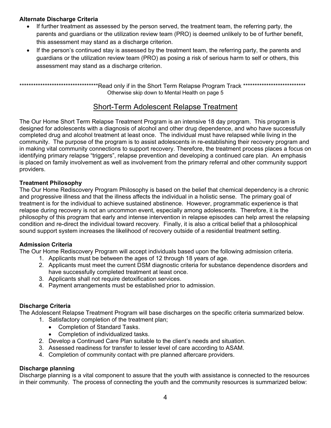# **Alternate Discharge Criteria**

- If further treatment as assessed by the person served, the treatment team, the referring party, the parents and guardians or the utilization review team (PRO) is deemed unlikely to be of further benefit, this assessment may stand as a discharge criterion.
- If the person's continued stay is assessed by the treatment team, the referring party, the parents and guardians or the utilization review team (PRO) as posing a risk of serious harm to self or others, this assessment may stand as a discharge criterion.

\*\*\*\*\*\*\*\*\*\*\*\*\*\*\*\*\*\*\*\*\*\*\*\*\*\*\*\*\*\*\*\*\*\*Read only if in the Short Term Relapse Program Track \*\*\*\*\*\*\*\*\*\*\*\*\*\*\*\*\*\*\*\*\*\*\*\*\*\*\* Otherwise skip down to Mental Health on page 5

# Short-Term Adolescent Relapse Treatment

The Our Home Short Term Relapse Treatment Program is an intensive 18 day program. This program is designed for adolescents with a diagnosis of alcohol and other drug dependence, and who have successfully completed drug and alcohol treatment at least once. The individual must have relapsed while living in the community. The purpose of the program is to assist adolescents in re-establishing their recovery program and in making vital community connections to support recovery. Therefore, the treatment process places a focus on identifying primary relapse "triggers", relapse prevention and developing a continued care plan. An emphasis is placed on family involvement as well as involvement from the primary referral and other community support providers.

# **Treatment Philosophy**

The Our Home Rediscovery Program Philosophy is based on the belief that chemical dependency is a chronic and progressive illness and that the illness affects the individual in a holistic sense. The primary goal of treatment is for the individual to achieve sustained abstinence. However, programmatic experience is that relapse during recovery is not an uncommon event, especially among adolescents. Therefore, it is the philosophy of this program that early and intense intervention in relapse episodes can help arrest the relapsing condition and re-direct the individual toward recovery. Finally, it is also a critical belief that a philosophical sound support system increases the likelihood of recovery outside of a residential treatment setting.

# **Admission Criteria**

The Our Home Rediscovery Program will accept individuals based upon the following admission criteria.

- 1. Applicants must be between the ages of 12 through 18 years of age.
- 2. Applicants must meet the current DSM diagnostic criteria for substance dependence disorders and have successfully completed treatment at least once.
- 3. Applicants shall not require detoxification services.
- 4. Payment arrangements must be established prior to admission.

# **Discharge Criteria**

The Adolescent Relapse Treatment Program will base discharges on the specific criteria summarized below.

- 1. Satisfactory completion of the treatment plan;
	- Completion of Standard Tasks.
	- Completion of individualized tasks.
- 2. Develop a Continued Care Plan suitable to the client's needs and situation.
- 3. Assessed readiness for transfer to lesser level of care according to ASAM.
- 4. Completion of community contact with pre planned aftercare providers.

# **Discharge planning**

Discharge planning is a vital component to assure that the youth with assistance is connected to the resources in their community. The process of connecting the youth and the community resources is summarized below: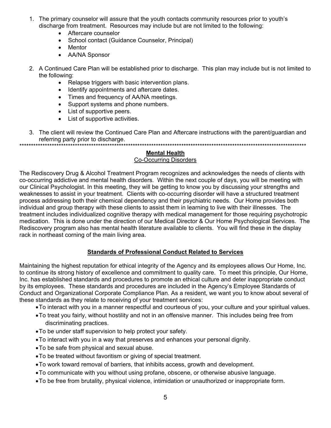- 1. The primary counselor will assure that the youth contacts community resources prior to youth's discharge from treatment. Resources may include but are not limited to the following:
	- Aftercare counselor
	- School contact (Guidance Counselor, Principal)
	- Mentor
	- AA/NA Sponsor
- 2. A Continued Care Plan will be established prior to discharge. This plan may include but is not limited to the following:
	- Relapse triggers with basic intervention plans.
	- Identify appointments and aftercare dates.
	- Times and frequency of AA/NA meetings.
	- Support systems and phone numbers.
	- List of supportive peers.
	- List of supportive activities.
- 3. The client will review the Continued Care Plan and Aftercare instructions with the parent/guardian and referring party prior to discharge. \*\*\*\*\*\*\*\*\*\*\*\*\*\*\*\*\*\*\*\*\*\*\*\*\*\*\*\*\*\*\*\*\*\*\*\*\*\*\*\*\*\*\*\*\*\*\*\*\*\*\*\*\*\*\*\*\*\*\*\*\*\*\*\*\*\*\*\*\*\*\*\*\*\*\*\*\*\*\*\*\*\*\*\*\*\*\*\*\*\*\*\*\*\*\*\*\*\*\*\*\*\*\*\*\*\*\*\*\*\*\*\*\*\*\*\*\*\*\*\*\*\*\*\*

**Mental Health** 

# Co-Occurring Disorders

The Rediscovery Drug & Alcohol Treatment Program recognizes and acknowledges the needs of clients with co-occurring addictive and mental health disorders. Within the next couple of days, you will be meeting with our Clinical Psychologist. In this meeting, they will be getting to know you by discussing your strengths and weaknesses to assist in your treatment. Clients with co-occurring disorder will have a structured treatment process addressing both their chemical dependency and their psychiatric needs. Our Home provides both individual and group therapy with these clients to assist them in learning to live with their illnesses. The treatment includes individualized cognitive therapy with medical management for those requiring psychotropic medication. This is done under the direction of our Medical Director & Our Home Psychological Services. The Rediscovery program also has mental health literature available to clients. You will find these in the display rack in northeast corning of the main living area.

# **Standards of Professional Conduct Related to Services**

Maintaining the highest reputation for ethical integrity of the Agency and its employees allows Our Home, Inc. to continue its strong history of excellence and commitment to quality care. To meet this principle, Our Home, Inc. has established standards and procedures to promote an ethical culture and deter inappropriate conduct by its employees. These standards and procedures are included in the Agency's Employee Standards of Conduct and Organizational Corporate Compliance Plan. As a resident, we want you to know about several of these standards as they relate to receiving of your treatment services:

- To interact with you in a manner respectful and courteous of you, your culture and your spiritual values.
- To treat you fairly, without hostility and not in an offensive manner. This includes being free from discriminating practices.
- To be under staff supervision to help protect your safety.
- To interact with you in a way that preserves and enhances your personal dignity.
- To be safe from physical and sexual abuse.
- To be treated without favoritism or giving of special treatment.
- To work toward removal of barriers, that inhibits access, growth and development.
- To communicate with you without using profane, obscene, or otherwise abusive language.
- To be free from brutality, physical violence, intimidation or unauthorized or inappropriate form.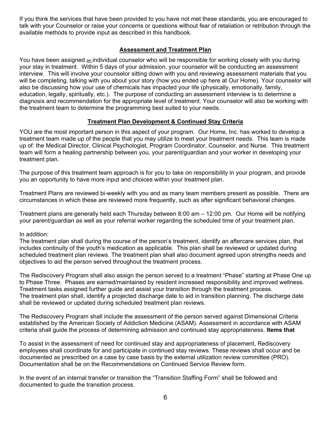If you think the services that have been provided to you have not met these standards, you are encouraged to talk with your Counselor or raise your concerns or questions without fear of retaliation or retribution through the available methods to provide input as described in this handbook.

# **Assessment and Treatment Plan**

You have been assigned an individual counselor who will be responsible for working closely with you during your stay in treatment. Within 5 days of your admission, your counselor will be conducting an assessment interview. This will involve your counselor sitting down with you and reviewing assessment materials that you will be completing, talking with you about your story (how you ended up here at Our Home). Your counselor will also be discussing how your use of chemicals has impacted your life (physically, emotionally, family, education, legally, spiritually, etc.). The purpose of conducting an assessment interview is to determine a diagnosis and recommendation for the appropriate level of treatment. Your counselor will also be working with the treatment team to determine the programming best suited to your needs.

# **Treatment Plan Development & Continued Stay Criteria**

YOU are the most important person in this aspect of your program. Our Home, Inc. has worked to develop a treatment team made up of the people that you may utilize to meet your treatment needs. This team is made up of: the Medical Director, Clinical Psychologist, Program Coordinator, Counselor, and Nurse. This treatment team will form a healing partnership between you, your parent/guardian and your worker in developing your treatment plan.

The purpose of this treatment team approach is for you to take on responsibility in your program, and provide you an opportunity to have more input and choices within your treatment plan.

Treatment Plans are reviewed bi-weekly with you and as many team members present as possible. There are circumstances in which these are reviewed more frequently, such as after significant behavioral changes.

Treatment plans are generally held each Thursday between 8:00 am – 12:00 pm. Our Home will be notifying your parent/guardian as well as your referral worker regarding the scheduled time of your treatment plan.

# In addition:

The treatment plan shall during the course of the person's treatment, identify an aftercare services plan, that includes continuity of the youth's medication as applicable. This plan shall be reviewed or updated during scheduled treatment plan reviews. The treatment plan shall also document agreed upon strengths needs and objectives to aid the person served throughout the treatment process.

The Rediscovery Program shall also assign the person served to a treatment "Phase" starting at Phase One up to Phase Three. Phases are earned/maintained by resident increased responsibility and improved wellness. Treatment tasks assigned further guide and assist your transition through the treatment process. The treatment plan shall, identify a projected discharge date to aid in transition planning. The discharge date shall be reviewed or updated during scheduled treatment plan reviews.

The Rediscovery Program shall include the assessment of the person served against Dimensional Criteria established by the American Society of Addiction Medicine (ASAM). Assessment in accordance with ASAM criteria shall guide the process of determining admission and continued stay appropriateness. **Items that** 

To assist in the assessment of need for continued stay and appropriateness of placement, Rediscovery employees shall coordinate for and participate in continued stay reviews. These reviews shall occur and be documented as prescribed on a case by case basis by the external utilization review committee (PRO). Documentation shall be on the Recommendations on Continued Service Review form.

In the event of an internal transfer or transition the "Transition Staffing Form" shall be followed and documented to guide the transition process.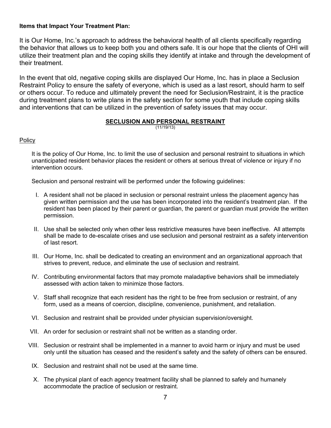# **Items that Impact Your Treatment Plan:**

It is Our Home, Inc.'s approach to address the behavioral health of all clients specifically regarding the behavior that allows us to keep both you and others safe. It is our hope that the clients of OHI will utilize their treatment plan and the coping skills they identify at intake and through the development of their treatment.

In the event that old, negative coping skills are displayed Our Home, Inc. has in place a Seclusion Restraint Policy to ensure the safety of everyone, which is used as a last resort, should harm to self or others occur. To reduce and ultimately prevent the need for Seclusion/Restraint, it is the practice during treatment plans to write plans in the safety section for some youth that include coping skills and interventions that can be utilized in the prevention of safety issues that may occur.

# **SECLUSION AND PERSONAL RESTRAINT**

(11/19/13)

# **Policy**

It is the policy of Our Home, Inc. to limit the use of seclusion and personal restraint to situations in which unanticipated resident behavior places the resident or others at serious threat of violence or injury if no intervention occurs.

Seclusion and personal restraint will be performed under the following guidelines:

- I. A resident shall not be placed in seclusion or personal restraint unless the placement agency has given written permission and the use has been incorporated into the resident's treatment plan. If the resident has been placed by their parent or guardian, the parent or guardian must provide the written permission.
- II. Use shall be selected only when other less restrictive measures have been ineffective. All attempts shall be made to de-escalate crises and use seclusion and personal restraint as a safety intervention of last resort.
- III. Our Home, Inc. shall be dedicated to creating an environment and an organizational approach that strives to prevent, reduce, and eliminate the use of seclusion and restraint.
- IV. Contributing environmental factors that may promote maladaptive behaviors shall be immediately assessed with action taken to minimize those factors.
- V. Staff shall recognize that each resident has the right to be free from seclusion or restraint, of any form, used as a means of coercion, discipline, convenience, punishment, and retaliation.
- VI. Seclusion and restraint shall be provided under physician supervision/oversight.
- VII. An order for seclusion or restraint shall not be written as a standing order.
- VIII. Seclusion or restraint shall be implemented in a manner to avoid harm or injury and must be used only until the situation has ceased and the resident's safety and the safety of others can be ensured.
- IX. Seclusion and restraint shall not be used at the same time.
- X. The physical plant of each agency treatment facility shall be planned to safely and humanely accommodate the practice of seclusion or restraint.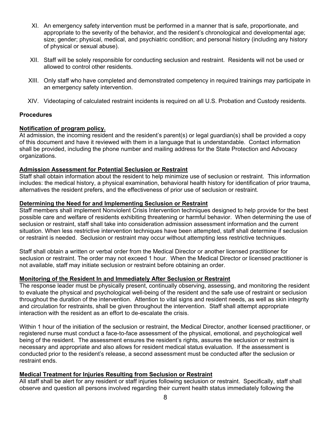- XI. An emergency safety intervention must be performed in a manner that is safe, proportionate, and appropriate to the severity of the behavior, and the resident's chronological and developmental age; size; gender; physical, medical, and psychiatric condition; and personal history (including any history of physical or sexual abuse).
- XII. Staff will be solely responsible for conducting seclusion and restraint. Residents will not be used or allowed to control other residents.
- XIII. Only staff who have completed and demonstrated competency in required trainings may participate in an emergency safety intervention.
- XIV. Videotaping of calculated restraint incidents is required on all U.S. Probation and Custody residents.

# **Procedures**

#### **Notification of program policy.**

At admission, the incoming resident and the resident's parent(s) or legal guardian(s) shall be provided a copy of this document and have it reviewed with them in a language that is understandable. Contact information shall be provided, including the phone number and mailing address for the State Protection and Advocacy organizations.

#### **Admission Assessment for Potential Seclusion or Restraint**

Staff shall obtain information about the resident to help minimize use of seclusion or restraint. This information includes: the medical history, a physical examination, behavioral health history for identification of prior trauma, alternatives the resident prefers, and the effectiveness of prior use of seclusion or restraint.

#### **Determining the Need for and Implementing Seclusion or Restraint**

Staff members shall implement Nonviolent Crisis Intervention techniques designed to help provide for the best possible care and welfare of residents exhibiting threatening or harmful behavior. When determining the use of seclusion or restraint, staff shall take into consideration admission assessment information and the current situation. When less restrictive intervention techniques have been attempted, staff shall determine if seclusion or restraint is needed. Seclusion or restraint may occur without attempting less restrictive techniques.

Staff shall obtain a written or verbal order from the Medical Director or another licensed practitioner for seclusion or restraint. The order may not exceed 1 hour. When the Medical Director or licensed practitioner is not available, staff may initiate seclusion or restraint before obtaining an order.

#### **Monitoring of the Resident In and Immediately After Seclusion or Restraint**

The response leader must be physically present, continually observing, assessing, and monitoring the resident to evaluate the physical and psychological well-being of the resident and the safe use of restraint or seclusion throughout the duration of the intervention. Attention to vital signs and resident needs, as well as skin integrity and circulation for restraints, shall be given throughout the intervention. Staff shall attempt appropriate interaction with the resident as an effort to de-escalate the crisis.

Within 1 hour of the initiation of the seclusion or restraint, the Medical Director, another licensed practitioner, or registered nurse must conduct a face-to-face assessment of the physical, emotional, and psychological well being of the resident. The assessment ensures the resident's rights, assures the seclusion or restraint is necessary and appropriate and also allows for resident medical status evaluation. If the assessment is conducted prior to the resident's release, a second assessment must be conducted after the seclusion or restraint ends.

# **Medical Treatment for Injuries Resulting from Seclusion or Restraint**

All staff shall be alert for any resident or staff injuries following seclusion or restraint. Specifically, staff shall observe and question all persons involved regarding their current health status immediately following the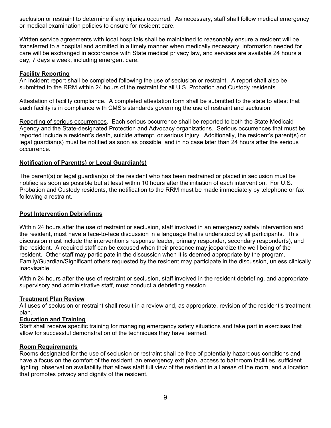seclusion or restraint to determine if any injuries occurred. As necessary, staff shall follow medical emergency or medical examination policies to ensure for resident care.

Written service agreements with local hospitals shall be maintained to reasonably ensure a resident will be transferred to a hospital and admitted in a timely manner when medically necessary, information needed for care will be exchanged in accordance with State medical privacy law, and services are available 24 hours a day, 7 days a week, including emergent care.

# **Facility Reporting**

An incident report shall be completed following the use of seclusion or restraint. A report shall also be submitted to the RRM within 24 hours of the restraint for all U.S. Probation and Custody residents.

Attestation of facility compliance. A completed attestation form shall be submitted to the state to attest that each facility is in compliance with CMS's standards governing the use of restraint and seclusion.

Reporting of serious occurrences. Each serious occurrence shall be reported to both the State Medicaid Agency and the State-designated Protection and Advocacy organizations. Serious occurrences that must be reported include a resident's death, suicide attempt, or serious injury. Additionally, the resident's parent(s) or legal guardian(s) must be notified as soon as possible, and in no case later than 24 hours after the serious occurrence.

# **Notification of Parent(s) or Legal Guardian(s)**

The parent(s) or legal guardian(s) of the resident who has been restrained or placed in seclusion must be notified as soon as possible but at least within 10 hours after the initiation of each intervention. For U.S. Probation and Custody residents, the notification to the RRM must be made immediately by telephone or fax following a restraint.

#### **Post Intervention Debriefings**

Within 24 hours after the use of restraint or seclusion, staff involved in an emergency safety intervention and the resident, must have a face-to-face discussion in a language that is understood by all participants. This discussion must include the intervention's response leader, primary responder, secondary responder(s), and the resident. A required staff can be excused when their presence may jeopardize the well being of the resident. Other staff may participate in the discussion when it is deemed appropriate by the program. Family/Guardian/Significant others requested by the resident may participate in the discussion, unless clinically inadvisable.

Within 24 hours after the use of restraint or seclusion, staff involved in the resident debriefing, and appropriate supervisory and administrative staff, must conduct a debriefing session.

# **Treatment Plan Review**

All uses of seclusion or restraint shall result in a review and, as appropriate, revision of the resident's treatment plan.

#### **Education and Training**

Staff shall receive specific training for managing emergency safety situations and take part in exercises that allow for successful demonstration of the techniques they have learned.

#### **Room Requirements**

Rooms designated for the use of seclusion or restraint shall be free of potentially hazardous conditions and have a focus on the comfort of the resident, an emergency exit plan, access to bathroom facilities, sufficient lighting, observation availability that allows staff full view of the resident in all areas of the room, and a location that promotes privacy and dignity of the resident.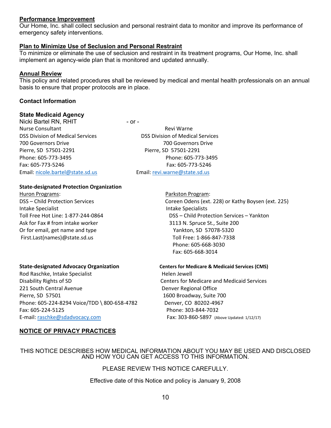#### **Performance Improvement**

Our Home, Inc. shall collect seclusion and personal restraint data to monitor and improve its performance of emergency safety interventions.

#### **Plan to Minimize Use of Seclusion and Personal Restraint**

To minimize or eliminate the use of seclusion and restraint in its treatment programs, Our Home, Inc. shall implement an agency-wide plan that is monitored and updated annually.

#### **Annual Review**

This policy and related procedures shall be reviewed by medical and mental health professionals on an annual basis to ensure that proper protocols are in place.

#### **Contact Information**

#### **State Medicaid Agency**

Nicki Bartel RN, RHIT - or -Nurse Consultant **Nurse Consultant** 700 Governors Drive 700 Governors Drive Pierre, SD 57501‐2291 Pierre, SD 57501‐2291 Fax: 605‐773‐5246 Fax: 605‐773‐5246 Email: nicole.bartel@state.sd.us Email: revi.warne@state.sd.us

DSS Division of Medical Services DSS Division of Medical Services Phone: 605‐773‐3495 Phone: 605‐773‐3495

#### **State‐designated Protection Organization**

Huron Programs: Parkston Program: Intake Specialist **Intake Specialist** Ask for Fax # from intake worker **building** and the same of the Sandy Sandy St., Suite 200 Or for email, get name and type **Solution** Spanish Contract Manuson, SD 57078-5320 First.Last(names)@state.sd.us Toll Free: 1‐866‐847‐7338

Rod Raschke, Intake Specialist **Business Contact Contact Accord Provider** Helen Jewell Disability Rights of SD Centers for Medicare and Medicaid Services 221 South Central Avenue **120 South Central Avenue 1221 South Central Avenue** Pierre, SD 57501 1600 Broadway, Suite 700 Phone: 605‐224‐8294 Voice/TDD \ 800‐658‐4782 Denver, CO 80202‐4967 Fax: 605‐224‐5125 Phone: 303‐844‐7032 E‐mail: raschke@sdadvocacy.com Fax: 303‐860‐5897 (Above Updated: 1/12/17)

DSS – Child Protection Services Coreen Odens (ext. 228) or Kathy Boysen (ext. 225) Toll Free Hot Line: 1‐877‐244‐0864 DSS – Child Protection Services – Yankton Phone: 605‐668‐3030 Fax: 605‐668‐3014

#### **State‐designated Advocacy Organization Centers for Medicare & Medicaid Services (CMS)**

#### **NOTICE OF PRIVACY PRACTICES**

#### THIS NOTICE DESCRIBES HOW MEDICAL INFORMATION ABOUT YOU MAY BE USED AND DISCLOSED AND HOW YOU CAN GET ACCESS TO THIS INFORMATION.

# PLEASE REVIEW THIS NOTICE CAREFULLY.

Effective date of this Notice and policy is January 9, 2008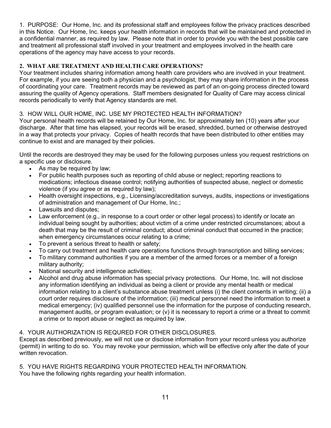1. PURPOSE: Our Home, Inc. and its professional staff and employees follow the privacy practices described in this Notice. Our Home, Inc. keeps your health information in records that will be maintained and protected in a confidential manner, as required by law. Please note that in order to provide you with the best possible care and treatment all professional staff involved in your treatment and employees involved in the health care operations of the agency may have access to your records.

# **2. WHAT ARE TREATMENT AND HEALTH CARE OPERATIONS?**

Your treatment includes sharing information among health care providers who are involved in your treatment. For example, if you are seeing both a physician and a psychologist, they may share information in the process of coordinating your care. Treatment records may be reviewed as part of an on-going process directed toward assuring the quality of Agency operations. Staff members designated for Quality of Care may access clinical records periodically to verify that Agency standards are met.

# 3. HOW WILL OUR HOME, INC. USE MY PROTECTED HEALTH INFORMATION?

Your personal health records will be retained by Our Home, Inc. for approximately ten (10) years after your discharge. After that time has elapsed, your records will be erased, shredded, burned or otherwise destroyed in a way that protects your privacy. Copies of health records that have been distributed to other entities may continue to exist and are managed by their policies.

Until the records are destroyed they may be used for the following purposes unless you request restrictions on a specific use or disclosure.

- As may be required by law;
- For public health purposes such as reporting of child abuse or neglect; reporting reactions to medications; infectious disease control; notifying authorities of suspected abuse, neglect or domestic violence (if you agree or as required by law);
- Health oversight inspections, e.g., Licensing/accreditation surveys, audits, inspections or investigations of administration and management of Our Home, Inc.;
- Lawsuits and disputes;
- Law enforcement (e.g., in response to a court order or other legal process) to identify or locate an individual being sought by authorities; about victim of a crime under restricted circumstances; about a death that may be the result of criminal conduct; about criminal conduct that occurred in the practice; when emergency circumstances occur relating to a crime;
- To prevent a serious threat to health or safety;
- To carry out treatment and health care operations functions through transcription and billing services;
- To military command authorities if you are a member of the armed forces or a member of a foreign military authority;
- National security and intelligence activities;
- Alcohol and drug abuse information has special privacy protections. Our Home, Inc. will not disclose any information identifying an individual as being a client or provide any mental health or medical information relating to a client's substance abuse treatment unless (i) the client consents in writing; (ii) a court order requires disclosure of the information; (iii) medical personnel need the information to meet a medical emergency; (iv) qualified personnel use the information for the purpose of conducting research, management audits, or program evaluation; or (v) it is necessary to report a crime or a threat to commit a crime or to report abuse or neglect as required by law.

# 4. YOUR AUTHORIZATION IS REQURED FOR OTHER DISCLOSURES.

Except as described previously, we will not use or disclose information from your record unless you authorize (permit) in writing to do so. You may revoke your permission, which will be effective only after the date of your written revocation.

#### 5. YOU HAVE RIGHTS REGARDING YOUR PROTECTED HEALTH INFORMATION. You have the following rights regarding your health information.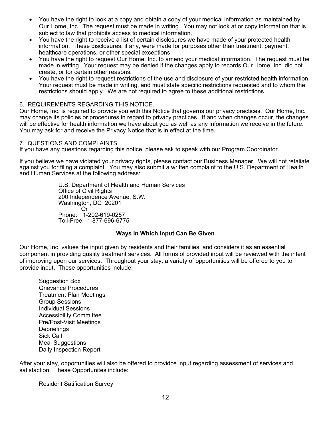- You have the right to look at a copy and obtain a copy of your medical information as maintained by Our Home, Inc. The request must be made in writing. You may not look at or copy information that is subject to law that prohibits access to medical information.
- You have the right to receive a list of certain disclosures we have made of your protected health information. These disclosures, if any, were made for purposes other than treatment, payment, healthcare operations, or other special exceptions.
- You have the right to request Our Home, Inc. to amend your medical information. The request must be made in writing. Your request may be denied if the changes apply to records Our Home, Inc. did not create, or for certain other reasons.
- You have the right to request restrictions of the use and disclosure of your restricted health information. Your request must be made in writing, and must state specific restrictions requested and to whom the restrictions should apply. We are not required to agree to these additional restrictions.

#### 6. REQUIREMENTS REGARDING THIS NOTICE.

Our Home, Inc. is required to provide you with this Notice that governs our privacy practices. Our Home, Inc. may change its policies or procedures in regard to privacy practices. If and when changes occur, the changes will be effective for health information we have about you as well as any information we receive in the future. You may ask for and receive the Privacy Notice that is in effect at the time.

#### 7. QUESTIONS AND COMPLAINTS.

If you have any questions regarding this notice, please ask to speak with our Program Coordinator.

If you believe we have violated your privacy rights, please contact our Business Manager. We will not retaliate against you for filing a complaint. You may also submit a written complaint to the U.S. Department of Health and Human Services at the following address:

 U.S. Department of Health and Human Services Office of Civil Rights 200 Independence Avenue, S.W. Washington, DC 20201 **Contract Contract Contract Contract Contract Contract Contract Contract Contract Contract Contract Contract Contract Contract Contract Contract Contract Contract Contract Contract Contract Contract Contract Contract Contr**  Phone: 1-202-619-0257 Toll-Free: 1-877-696-6775

# **Ways in Which Input Can Be Given**

Our Home, Inc. values the input given by residents and their families, and considers it as an essential component in providing quality treatment services. All forms of provided input will be reviewed with the intent of improving upon our services. Throughout your stay, a variety of opportunities will be offered to you to provide input. These opportunities include:

Suggestion Box Grievance Procedures Treatment Plan Meetings Group Sessions Individual Sessions Accessibility Committee Pre/Post-Visit Meetings **Debriefings**  Sick Call Meal Suggestions Daily Inspection Report

After your stay, opportunities will also be offered to providce input regarding assessment of services and satisfaction. These Opportunites include:

Resident Satification Survey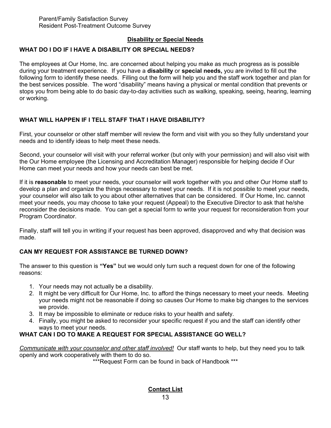# **Disability or Special Needs**

# **WHAT DO I DO IF I HAVE A DISABILITY OR SPECIAL NEEDS?**

The employees at Our Home, Inc. are concerned about helping you make as much progress as is possible during your treatment experience. If you have a **disability** or **special needs,** you are invited to fill out the following form to identify these needs. Filling out the form will help you and the staff work together and plan for the best services possible. The word "disability" means having a physical or mental condition that prevents or stops you from being able to do basic day-to-day activities such as walking, speaking, seeing, hearing, learning or working.

# **WHAT WILL HAPPEN IF I TELL STAFF THAT I HAVE DISABILITY?**

First, your counselor or other staff member will review the form and visit with you so they fully understand your needs and to identify ideas to help meet these needs.

Second, your counselor will visit with your referral worker (but only with your permission) and will also visit with the Our Home employee (the Licensing and Accreditation Manager) responsible for helping decide if Our Home can meet your needs and how your needs can best be met.

If it is **reasonable** to meet your needs, your counselor will work together with you and other Our Home staff to develop a plan and organize the things necessary to meet your needs. If it is not possible to meet your needs, your counselor will also talk to you about other alternatives that can be considered. If Our Home, Inc. cannot meet your needs, you may choose to take your request (Appeal) to the Executive Director to ask that he/she reconsider the decisions made. You can get a special form to write your request for reconsideration from your Program Coordinator.

Finally, staff will tell you in writing if your request has been approved, disapproved and why that decision was made.

# **CAN MY REQUEST FOR ASSISTANCE BE TURNED DOWN?**

The answer to this question is **"Yes"** but we would only turn such a request down for one of the following reasons:

- 1. Your needs may not actually be a disability.
- 2. It might be very difficult for Our Home, Inc. to afford the things necessary to meet your needs. Meeting your needs might not be reasonable if doing so causes Our Home to make big changes to the services we provide.
- 3. It may be impossible to eliminate or reduce risks to your health and safety.
- 4. Finally, you might be asked to reconsider your specific request if you and the staff can identify other ways to meet your needs.

# **WHAT CAN I DO TO MAKE A REQUEST FOR SPECIAL ASSISTANCE GO WELL?**

*Communicate with your counselor and other staff involved!*Our staff wants to help, but they need you to talk openly and work cooperatively with them to do so.

\*\*\*Request Form can be found in back of Handbook \*\*\*

**Contact List**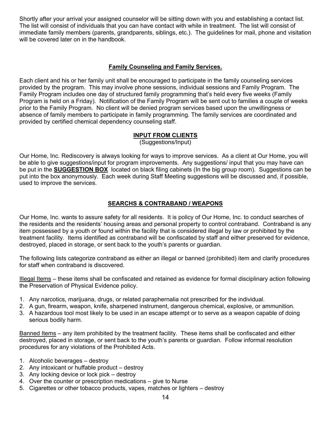Shortly after your arrival your assigned counselor will be sitting down with you and establishing a contact list. The list will consist of individuals that you can have contact with while in treatment. The list will consist of immediate family members (parents, grandparents, siblings, etc.). The guidelines for mail, phone and visitation will be covered later on in the handbook.

# **Family Counseling and Family Services.**

Each client and his or her family unit shall be encouraged to participate in the family counseling services provided by the program. This may involve phone sessions, individual sessions and Family Program. The Family Program includes one day of structured family programming that's held every five weeks (Family Program is held on a Friday). Notification of the Family Program will be sent out to families a couple of weeks prior to the Family Program. No client will be denied program services based upon the unwillingness or absence of family members to participate in family programming. The family services are coordinated and provided by certified chemical dependency counseling staff.

# **INPUT FROM CLIENTS**

(Suggestions/Input)

Our Home, Inc. Rediscovery is always looking for ways to improve services. As a client at Our Home, you will be able to give suggestions/input for program improvements. Any suggestions/ input that you may have can be put in the **SUGGESTION BOX** located on black filing cabinets (In the big group room). Suggestions can be put into the box anonymously. Each week during Staff Meeting suggestions will be discussed and, if possible, used to improve the services.

# **SEARCHS & CONTRABAND / WEAPONS**

Our Home, Inc. wants to assure safety for all residents. It is policy of Our Home, Inc. to conduct searches of the residents and the residents' housing areas and personal property to control contraband. Contraband is any item possessed by a youth or found within the facility that is considered illegal by law or prohibited by the treatment facility. Items identified as contraband will be confiscated by staff and either preserved for evidence, destroyed, placed in storage, or sent back to the youth's parents or guardian.

The following lists categorize contraband as either an illegal or banned (prohibited) item and clarify procedures for staff when contraband is discovered.

Illegal Items – these items shall be confiscated and retained as evidence for formal disciplinary action following the Preservation of Physical Evidence policy.

- 1. Any narcotics, marijuana, drugs, or related paraphernalia not prescribed for the individual.
- 2. A gun, firearm, weapon, knife, sharpened instrument, dangerous chemical, explosive, or ammunition.
- 3. A hazardous tool most likely to be used in an escape attempt or to serve as a weapon capable of doing serious bodily harm.

Banned Items – any item prohibited by the treatment facility. These items shall be confiscated and either destroyed, placed in storage, or sent back to the youth's parents or guardian. Follow informal resolution procedures for any violations of the Prohibited Acts.

- 1. Alcoholic beverages destroy
- 2. Any intoxicant or huffable product destroy
- 3. Any locking device or lock pick destroy
- 4. Over the counter or prescription medications give to Nurse
- 5. Cigarettes or other tobacco products, vapes, matches or lighters destroy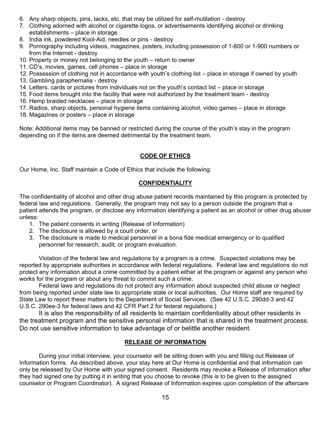- 6. Any sharp objects, pins, tacks, etc. that may be utilized for self-mutilation destroy
- 7. Clothing adorned with alcohol or cigarette logos, or advertisements identifying alcohol or drinking establishments – place in storage
- 8. India ink, powdered Kool-Aid, needles or pins destroy
- 9. Pornography including videos, magazines, posters, including possession of 1-800 or 1-900 numbers or from the Internet - destroy
- 10. Property or money not belonging to the youth return to owner
- 11. CD's, movies, games, cell phones place in storage
- 12. Possession of clothing not in accordance with youth's clothing list place in storage if owned by youth
- 13. Gambling paraphernalia destroy
- 14. Letters, cards or pictures from individuals not on the youth's contact list place in storage
- 15. Food items brought into the facility that were not authorized by the treatment team destroy
- 16. Hemp braided necklaces place in storage
- 17. Radios, sharp objects, personal hygiene items containing alcohol, video games place in storage
- 18. Magazines or posters place in storage

Note: Additional items may be banned or restricted during the course of the youth's stay in the program depending on if the items are deemed detrimental by the treatment team.

# **CODE OF ETHICS**

Our Home, Inc. Staff maintain a Code of Ethics that include the following:

# **CONFIDENTIALITY**

The confidentiality of alcohol and other drug abuse patient records maintained by this program is protected by federal law and regulations. Generally, the program may not say to a person outside the program that a patient attends the program, or disclose any information identifying a patient as an alcohol or other drug abuser unless:

- 1. The patient consents in writing (Release of Information)
- 2. The disclosure is allowed by a court order, or
- 3. The disclosure is made to medical personnel in a bona fide medical emergency or to qualified personnel for research, audit, or program evaluation.

Violation of the federal law and regulations by a program is a crime. Suspected violations may be reported by appropriate authorities in accordance with federal regulations. Federal law and regulations do not protect any information about a crime committed by a patient either at the program or against any person who works for the program or about any threat to commit such a crime.

 Federal laws and regulations do not protect any information about suspected child abuse or neglect from being reported under state law to appropriate state or local authorities. Our Home staff are required by State Law to report these matters to the Department of Social Services. (See 42 U.S.C. 290dd-3 and 42 U.S.C. 290ee-3 for federal laws and 42 CFR Part 2 for federal regulations.)

It is also the responsibility of all residents to maintain confidentiality about other residents in the treatment program and the sensitive personal information that is shared in the treatment process. Do not use sensitive information to take advantage of or belittle another resident.

# **RELEASE OF INFORMATION**

During your initial interview, your counselor will be sitting down with you and filling out Release of Information forms. As described above, your stay here at Our Home is confidential and that information can only be released by Our Home with your signed consent. Residents may revoke a Release of Information after they had signed one by putting it in writing that you choose to revoke (this is to be given to the assigned counselor or Program Coordinator). A signed Release of Information expires upon completion of the aftercare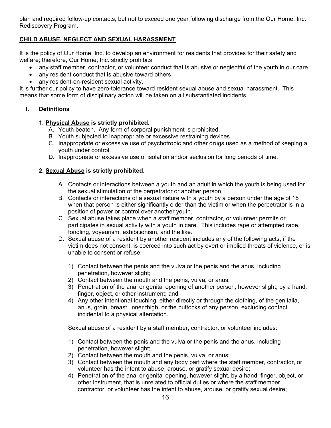plan and required follow-up contacts, but not to exceed one year following discharge from the Our Home, Inc. Rediscovery Program.

# **CHILD ABUSE, NEGLECT AND SEXUAL HARASSMENT**

It is the policy of Our Home, Inc. to develop an environment for residents that provides for their safety and welfare; therefore, Our Home, Inc. strictly prohibits

- any staff member, contractor, or volunteer conduct that is abusive or neglectful of the youth in our care.
- any resident conduct that is abusive toward others.
- any resident-on-resident sexual activity.

It is further our policy to have zero-tolerance toward resident sexual abuse and sexual harassment. This means that some form of disciplinary action will be taken on all substantiated incidents.

# **I. Definitions**

# **1. Physical Abuse is strictly prohibited.**

- A. Youth beaten. Any form of corporal punishment is prohibited.
- B. Youth subjected to inappropriate or excessive restraining devices.
- C. Inappropriate or excessive use of psychotropic and other drugs used as a method of keeping a youth under control.
- D. Inappropriate or excessive use of isolation and/or seclusion for long periods of time.

# **2. Sexual Abuse is strictly prohibited.**

- A. Contacts or interactions between a youth and an adult in which the youth is being used for the sexual stimulation of the perpetrator or another person.
- B. Contacts or interactions of a sexual nature with a youth by a person under the age of 18 when that person is either significantly older than the victim or when the perpetrator is in a position of power or control over another youth.
- C. Sexual abuse takes place when a staff member, contractor, or volunteer permits or participates in sexual activity with a youth in care. This includes rape or attempted rape, fondling, voyeurism, exhibitionism, and the like.
- D. Sexual abuse of a resident by another resident includes any of the following acts, if the victim does not consent, is coerced into such act by overt or implied threats of violence, or is unable to consent or refuse:
	- 1) Contact between the penis and the vulva or the penis and the anus, including penetration, however slight;
	- 2) Contact between the mouth and the penis, vulva, or anus;
	- 3) Penetration of the anal or genital opening of another person, however slight, by a hand, finger, object, or other instrument; and
	- 4) Any other intentional touching, either directly or through the clothing, of the genitalia, anus, groin, breast, inner thigh, or the buttocks of any person, excluding contact incidental to a physical altercation.

Sexual abuse of a resident by a staff member, contractor, or volunteer includes:

- 1) Contact between the penis and the vulva or the penis and the anus, including penetration, however slight;
- 2) Contact between the mouth and the penis, vulva, or anus;
- 3) Contact between the mouth and any body part where the staff member, contractor, or volunteer has the intent to abuse, arouse, or gratify sexual desire;
- 4) Penetration of the anal or genital opening, however slight, by a hand, finger, object, or other instrument, that is unrelated to official duties or where the staff member, contractor, or volunteer has the intent to abuse, arouse, or gratify sexual desire;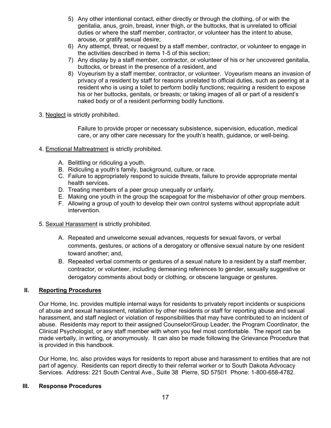- 5) Any other intentional contact, either directly or through the clothing, of or with the genitalia, anus, groin, breast, inner thigh, or the buttocks, that is unrelated to official duties or where the staff member, contractor, or volunteer has the intent to abuse, arouse, or gratify sexual desire;
- 6) Any attempt, threat, or request by a staff member, contractor, or volunteer to engage in the activities described in items 1-5 of this section;
- 7) Any display by a staff member, contractor, or volunteer of his or her uncovered genitalia, buttocks, or breast in the presence of a resident, and
- 8) Voyeurism by a staff member, contractor, or volunteer. Voyeurism means an invasion of privacy of a resident by staff for reasons unrelated to official duties, such as peering at a resident who is using a toilet to perform bodily functions; requiring a resident to expose his or her buttocks, genitals, or breasts; or taking images of all or part of a resident's naked body or of a resident performing bodily functions.
- 3. Neglect is strictly prohibited.

Failure to provide proper or necessary subsistence, supervision, education, medical care, or any other care necessary for the youth's health, guidance, or well-being.

- 4. Emotional Maltreatment is strictly prohibited.
	- A. Belittling or ridiculing a youth.
	- B. Ridiculing a youth's family, background, culture, or race.
	- C. Failure to appropriately respond to suicide threats, failure to provide appropriate mental health services.
	- D. Treating members of a peer group unequally or unfairly.
	- E. Making one youth in the group the scapegoat for the misbehavior of other group members.
	- F. Allowing a group of youth to develop their own control systems without appropriate adult intervention.
- 5. Sexual Harassment is strictly prohibited.
	- A. Repeated and unwelcome sexual advances, requests for sexual favors, or verbal comments, gestures, or actions of a derogatory or offensive sexual nature by one resident toward another; and,
	- B. Repeated verbal comments or gestures of a sexual nature to a resident by a staff member, contractor, or volunteer, including demeaning references to gender, sexually suggestive or derogatory comments about body or clothing, or obscene language or gestures.

#### **II. Reporting Procedures**

Our Home, Inc. provides multiple internal ways for residents to privately report incidents or suspicions of abuse and sexual harassment, retaliation by other residents or staff for reporting abuse and sexual harassment, and staff neglect or violation of responsibilities that may have contributed to an incident of abuse. Residents may report to their assigned Counselor/Group Leader, the Program Coordinator, the Clinical Psychologist, or any staff member with whom you feel most comfortable. The report can be made verbally, in writing, or anonymously. It can also be made following the Grievance Procedure that is provided in this handbook.

Our Home, Inc. also provides ways for residents to report abuse and harassment to entities that are not part of agency. Residents can report directly to their referral worker or to South Dakota Advocacy Services. Address: 221 South Central Ave., Suite 38 Pierre, SD 57501 Phone: 1-800-658-4782.

#### **III. Response Procedures**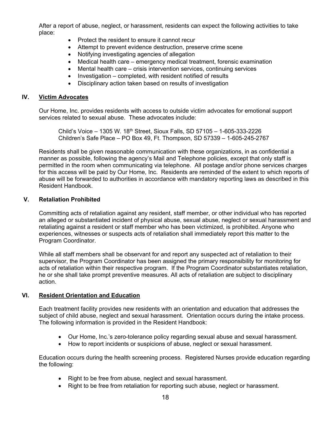After a report of abuse, neglect, or harassment, residents can expect the following activities to take place:

- Protect the resident to ensure it cannot recur
- Attempt to prevent evidence destruction, preserve crime scene
- Notifying investigating agencies of allegation
- Medical health care emergency medical treatment, forensic examination
- Mental health care crisis intervention services, continuing services
- $\bullet$  Investigation completed, with resident notified of results
- Disciplinary action taken based on results of investigation

#### **IV. Victim Advocates**

Our Home, Inc. provides residents with access to outside victim advocates for emotional support services related to sexual abuse. These advocates include:

 Child's Voice – 1305 W. 18th Street, Sioux Falls, SD 57105 – 1-605-333-2226 Children's Safe Place – PO Box 49, Ft. Thompson, SD 57339 – 1-605-245-2767

Residents shall be given reasonable communication with these organizations, in as confidential a manner as possible, following the agency's Mail and Telephone policies, except that only staff is permitted in the room when communicating via telephone. All postage and/or phone services charges for this access will be paid by Our Home, Inc. Residents are reminded of the extent to which reports of abuse will be forwarded to authorities in accordance with mandatory reporting laws as described in this Resident Handbook.

#### **V. Retaliation Prohibited**

Committing acts of retaliation against any resident, staff member, or other individual who has reported an alleged or substantiated incident of physical abuse, sexual abuse, neglect or sexual harassment and retaliating against a resident or staff member who has been victimized, is prohibited. Anyone who experiences, witnesses or suspects acts of retaliation shall immediately report this matter to the Program Coordinator.

While all staff members shall be observant for and report any suspected act of retaliation to their supervisor, the Program Coordinator has been assigned the primary responsibility for monitoring for acts of retaliation within their respective program. If the Program Coordinator substantiates retaliation, he or she shall take prompt preventive measures. All acts of retaliation are subject to disciplinary action.

# **VI. Resident Orientation and Education**

Each treatment facility provides new residents with an orientation and education that addresses the subject of child abuse, neglect and sexual harassment. Orientation occurs during the intake process. The following information is provided in the Resident Handbook:

- Our Home, Inc.'s zero-tolerance policy regarding sexual abuse and sexual harassment.
- How to report incidents or suspicions of abuse, neglect or sexual harassment.

Education occurs during the health screening process. Registered Nurses provide education regarding the following:

- Right to be free from abuse, neglect and sexual harassment.
- Right to be free from retaliation for reporting such abuse, neglect or harassment.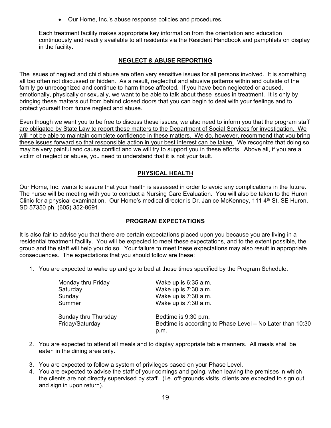Our Home, Inc.'s abuse response policies and procedures.

Each treatment facility makes appropriate key information from the orientation and education continuously and readily available to all residents via the Resident Handbook and pamphlets on display in the facility.

# **NEGLECT & ABUSE REPORTING**

The issues of neglect and child abuse are often very sensitive issues for all persons involved. It is something all too often not discussed or hidden. As a result, neglectful and abusive patterns within and outside of the family go unrecognized and continue to harm those affected. If you have been neglected or abused, emotionally, physically or sexually, we want to be able to talk about these issues in treatment. It is only by bringing these matters out from behind closed doors that you can begin to deal with your feelings and to protect yourself from future neglect and abuse.

Even though we want you to be free to discuss these issues, we also need to inform you that the program staff are obligated by State Law to report these matters to the Department of Social Services for investigation. We will not be able to maintain complete confidence in these matters. We do, however, recommend that you bring these issues forward so that responsible action in your best interest can be taken. We recognize that doing so may be very painful and cause conflict and we will try to support you in these efforts. Above all, if you are a victim of neglect or abuse, you need to understand that it is not your fault.

# **PHYSICAL HEALTH**

Our Home, Inc. wants to assure that your health is assessed in order to avoid any complications in the future. The nurse will be meeting with you to conduct a Nursing Care Evaluation. You will also be taken to the Huron Clinic for a physical examination. Our Home's medical director is Dr. Janice McKenney, 111  $4<sup>th</sup>$  St. SE Huron, SD 57350 ph. (605) 352-8691.

# **PROGRAM EXPECTATIONS**

It is also fair to advise you that there are certain expectations placed upon you because you are living in a residential treatment facility. You will be expected to meet these expectations, and to the extent possible, the group and the staff will help you do so. Your failure to meet these expectations may also result in appropriate consequences. The expectations that you should follow are these:

1. You are expected to wake up and go to bed at those times specified by the Program Schedule.

| Monday thru Friday   | Wake up is 6:35 a.m.                                      |
|----------------------|-----------------------------------------------------------|
| Saturday             | Wake up is 7:30 a.m.                                      |
| Sunday               | Wake up is 7:30 a.m.                                      |
| Summer               | Wake up is 7:30 a.m.                                      |
| Sunday thru Thursday | Bedtime is 9:30 p.m.                                      |
| Friday/Saturday      | Bedtime is according to Phase Level – No Later than 10:30 |
|                      | p.m.                                                      |

- 2. You are expected to attend all meals and to display appropriate table manners. All meals shall be eaten in the dining area only.
- 3. You are expected to follow a system of privileges based on your Phase Level.
- 4. You are expected to advise the staff of your comings and going, when leaving the premises in which the clients are not directly supervised by staff. (i.e. off-grounds visits, clients are expected to sign out and sign in upon return).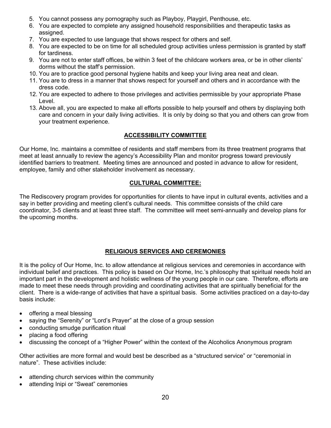- 5. You cannot possess any pornography such as Playboy, Playgirl, Penthouse, etc.
- 6. You are expected to complete any assigned household responsibilities and therapeutic tasks as assigned.
- 7. You are expected to use language that shows respect for others and self.
- 8. You are expected to be on time for all scheduled group activities unless permission is granted by staff for tardiness.
- 9. You are not to enter staff offices, be within 3 feet of the childcare workers area, or be in other clients' dorms without the staff's permission.
- 10. You are to practice good personal hygiene habits and keep your living area neat and clean.
- 11. You are to dress in a manner that shows respect for yourself and others and in accordance with the dress code.
- 12. You are expected to adhere to those privileges and activities permissible by your appropriate Phase Level.
- 13. Above all, you are expected to make all efforts possible to help yourself and others by displaying both care and concern in your daily living activities. It is only by doing so that you and others can grow from your treatment experience.

# **ACCESSIBILITY COMMITTEE**

Our Home, Inc. maintains a committee of residents and staff members from its three treatment programs that meet at least annually to review the agency's Accessibility Plan and monitor progress toward previously identified barriers to treatment. Meeting times are announced and posted in advance to allow for resident, employee, family and other stakeholder involvement as necessary.

# **CULTURAL COMMITTEE:**

The Rediscovery program provides for opportunities for clients to have input in cultural events, activities and a say in better providing and meeting client's cultural needs. This committee consists of the child care coordinator, 3-5 clients and at least three staff. The committee will meet semi-annually and develop plans for the upcoming months.

# **RELIGIOUS SERVICES AND CEREMONIES**

It is the policy of Our Home, Inc. to allow attendance at religious services and ceremonies in accordance with individual belief and practices. This policy is based on Our Home, Inc.'s philosophy that spiritual needs hold an important part in the development and holistic wellness of the young people in our care. Therefore, efforts are made to meet these needs through providing and coordinating activities that are spiritually beneficial for the client. There is a wide-range of activities that have a spiritual basis. Some activities practiced on a day-to-day basis include:

- offering a meal blessing
- saying the "Serenity" or "Lord's Prayer" at the close of a group session
- conducting smudge purification ritual
- placing a food offering
- discussing the concept of a "Higher Power" within the context of the Alcoholics Anonymous program

Other activities are more formal and would best be described as a "structured service" or "ceremonial in nature". These activities include:

- attending church services within the community
- attending Inipi or "Sweat" ceremonies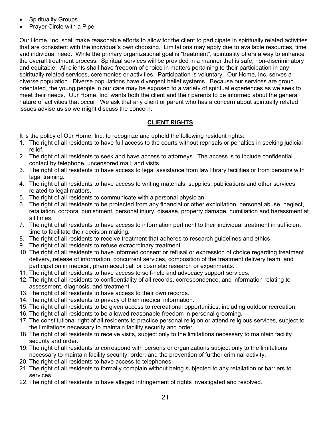- Spirituality Groups
- Prayer Circle with a Pipe

Our Home, Inc. shall make reasonable efforts to allow for the client to participate in spiritually related activities that are consistent with the individual's own choosing. Limitations may apply due to available resources, time and individual need. While the primary organizational goal is "treatment", spirituality offers a way to enhance the overall treatment process. Spiritual services will be provided in a manner that is safe, non-discriminatory and equitable. All clients shall have freedom of choice in matters pertaining to their participation in any spiritually related services, ceremonies or activities. Participation is voluntary. Our Home, Inc. serves a diverse population. Diverse populations have divergent belief systems. Because our services are group orientated, the young people in our care may be exposed to a variety of spiritual experiences as we seek to meet their needs. Our Home, Inc. wants both the client and their parents to be informed about the general nature of activities that occur. We ask that any client or parent who has a concern about spiritually related issues advise us so we might discuss the concern.

# **CLIENT RIGHTS**

It is the policy of Our Home, Inc. to recognize and uphold the following resident rights:

- 1. The right of all residents to have full access to the courts without reprisals or penalties in seeking judicial relief.
- 2. The right of all residents to seek and have access to attorneys. The access is to include confidential contact by telephone, uncensored mail, and visits.
- 3. The right of all residents to have access to legal assistance from law library facilities or from persons with legal training.
- 4. The right of all residents to have access to writing materials, supplies, publications and other services related to legal matters.
- 5. The right of all residents to communicate with a personal physician.
- 6. The right of all residents to be protected from any financial or other exploitation, personal abuse, neglect, retaliation, corporal punishment, personal injury, disease, property damage, humiliation and harassment at all times.
- 7. The right of all residents to have access to information pertinent to their individual treatment in sufficient time to facilitate their decision making.
- 8. The right of all residents to receive treatment that adheres to research guidelines and ethics.
- 9. The right of all residents to refuse extraordinary treatment.
- 10. The right of all residents to have informed consent or refusal or expression of choice regarding treatment delivery, release of information, concurrent services, composition of the treatment delivery team, and participation in medical, pharmaceutical, or cosmetic research or experiments.
- 11. The right of all residents to have access to self-help and advocacy support services.
- 12. The right of all residents to confidentiality of all records, correspondence, and information relating to assessment, diagnosis, and treatment.
- 13. The right of all residents to have access to their own records.
- 14. The right of all residents to privacy of their medical information.
- 15. The right of all residents to be given access to recreational opportunities, including outdoor recreation.
- 16. The right of all residents to be allowed reasonable freedom in personal grooming.
- 17. The constitutional right of all residents to practice personal religion or attend religious services, subject to the limitations necessary to maintain facility security and order.
- 18. The right of all residents to receive visits, subject only to the limitations necessary to maintain facility security and order.
- 19. The right of all residents to correspond with persons or organizations subject only to the limitations necessary to maintain facility security, order, and the prevention of further criminal activity.
- 20. The right of all residents to have access to telephones.
- 21. The right of all residents to formally complain without being subjected to any retaliation or barriers to services.
- 22. The right of all residents to have alleged infringement of rights investigated and resolved.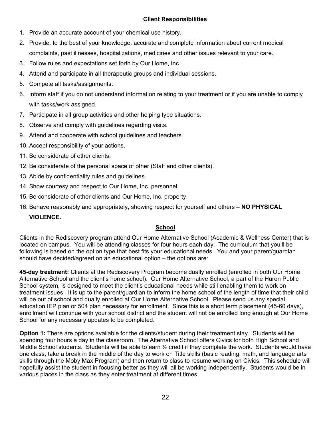# **Client Responsibilities**

- 1. Provide an accurate account of your chemical use history.
- 2. Provide, to the best of your knowledge, accurate and complete information about current medical complaints, past illnesses, hospitalizations, medicines and other issues relevant to your care.
- 3. Follow rules and expectations set forth by Our Home, Inc.
- 4. Attend and participate in all therapeutic groups and individual sessions.
- 5. Compete all tasks/assignments.
- 6. Inform staff if you do not understand information relating to your treatment or if you are unable to comply with tasks/work assigned.
- 7. Participate in all group activities and other helping type situations.
- 8. Observe and comply with guidelines regarding visits.
- 9. Attend and cooperate with school guidelines and teachers.
- 10. Accept responsibility of your actions.
- 11. Be considerate of other clients.
- 12. Be considerate of the personal space of other (Staff and other clients).
- 13. Abide by confidentiality rules and guidelines.
- 14. Show courtesy and respect to Our Home, Inc. personnel.
- 15. Be considerate of other clients and Our Home, Inc. property.
- 16. Behave reasonably and appropriately, showing respect for yourself and others – **NO PHYSICAL**

# **VIOLENCE.**

# **School**

Clients in the Rediscovery program attend Our Home Alternative School (Academic & Wellness Center) that is located on campus. You will be attending classes for four hours each day. The curriculum that you'll be following is based on the option type that best fits your educational needs. You and your parent/guardian should have decided/agreed on an educational option – the options are:

**45-day treatment:** Clients at the Rediscovery Program become dually enrolled (enrolled in both Our Home Alternative School and the client's home school). Our Home Alternative School, a part of the Huron Public School system, is designed to meet the client's educational needs while still enabling them to work on treatment issues. It is up to the parent/guardian to inform the home school of the length of time that their child will be out of school and dually enrolled at Our Home Alternative School. Please send us any special education IEP plan or 504 plan necessary for enrollment. Since this is a short term placement (45-60 days), enrollment will continue with your school district and the student will not be enrolled long enough at Our Home School for any necessary updates to be completed.

**Option 1:** There are options available for the clients/student during their treatment stay. Students will be spending four hours a day in the classroom. The Alternative School offers Civics for both High School and Middle School students. Students will be able to earn  $\frac{1}{2}$  credit if they complete the work. Students would have one class, take a break in the middle of the day to work on Title skills (basic reading, math, and language arts skills through the Moby Max Program) and then return to class to resume working on Civics. This schedule will hopefully assist the student in focusing better as they will all be working independently. Students would be in various places in the class as they enter treatment at different times.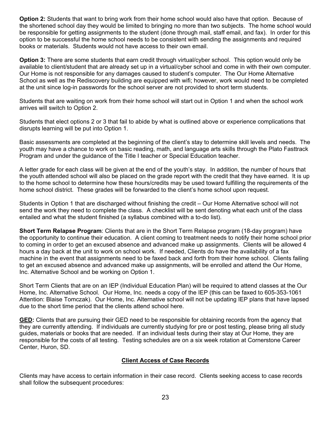**Option 2:** Students that want to bring work from their home school would also have that option. Because of the shortened school day they would be limited to bringing no more than two subjects. The home school would be responsible for getting assignments to the student (done through mail, staff email, and fax). In order for this option to be successful the home school needs to be consistent with sending the assignments and required books or materials. Students would not have access to their own email.

**Option 3:** There are some students that earn credit through virtual/cyber school. This option would only be available to client/student that are already set up in a virtual/cyber school and come in with their own computer. Our Home is not responsible for any damages caused to student's computer. The Our Home Alternative School as well as the Rediscovery building are equipped with wifi; however, work would need to be completed at the unit since log-in passwords for the school server are not provided to short term students.

Students that are waiting on work from their home school will start out in Option 1 and when the school work arrives will switch to Option 2.

Students that elect options 2 or 3 that fail to abide by what is outlined above or experience complications that disrupts learning will be put into Option 1.

Basic assessments are completed at the beginning of the client's stay to determine skill levels and needs. The youth may have a chance to work on basic reading, math, and language arts skills through the Plato Fasttrack Program and under the guidance of the Title I teacher or Special Education teacher.

A letter grade for each class will be given at the end of the youth's stay. In addition, the number of hours that the youth attended school will also be placed on the grade report with the credit that they have earned. It is up to the home school to determine how these hours/credits may be used toward fulfilling the requirements of the home school district. These grades will be forwarded to the client's home school upon request.

Students in Option 1 that are discharged without finishing the credit – Our Home Alternative school will not send the work they need to complete the class. A checklist will be sent denoting what each unit of the class entailed and what the student finished (a syllabus combined with a to-do list).

**Short Term Relapse Program**: Clients that are in the Short Term Relapse program (18-day program) have the opportunity to continue their education. A client coming to treatment needs to notify their home school prior to coming in order to get an excused absence and advanced make up assignments. Clients will be allowed 4 hours a day back at the unit to work on school work. If needed, Clients do have the availability of a fax machine in the event that assignments need to be faxed back and forth from their home school. Clients failing to get an excused absence and advanced make up assignments, will be enrolled and attend the Our Home, Inc. Alternative School and be working on Option 1.

Short Term Clients that are on an IEP (Individual Education Plan) will be required to attend classes at the Our Home, Inc. Alternative School. Our Home, Inc. needs a copy of the IEP (this can be faxed to 605-353-1061 Attention: Blaise Tomczak). Our Home, Inc. Alternative school will not be updating IEP plans that have lapsed due to the short time period that the clients attend school here.

**GED:** Clients that are pursuing their GED need to be responsible for obtaining records from the agency that they are currently attending. If individuals are currently studying for pre or post testing, please bring all study guides, materials or books that are needed. If an individual tests during their stay at Our Home, they are responsible for the costs of all testing. Testing schedules are on a six week rotation at Cornerstone Career Center, Huron, SD.

# **Client Access of Case Records**

Clients may have access to certain information in their case record. Clients seeking access to case records shall follow the subsequent procedures: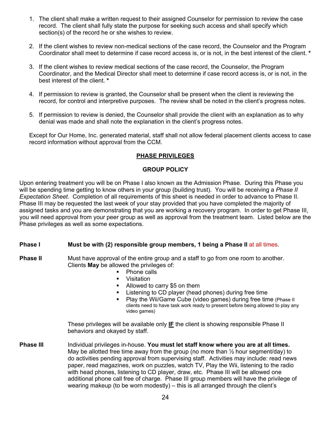- 1. The client shall make a written request to their assigned Counselor for permission to review the case record. The client shall fully state the purpose for seeking such access and shall specify which section(s) of the record he or she wishes to review.
- 2. If the client wishes to review non-medical sections of the case record, the Counselor and the Program Coordinator shall meet to determine if case record access is, or is not, in the best interest of the client. **\***
- 3. If the client wishes to review medical sections of the case record, the Counselor, the Program Coordinator, and the Medical Director shall meet to determine if case record access is, or is not, in the best interest of the client. **\***
- 4. If permission to review is granted, the Counselor shall be present when the client is reviewing the record, for control and interpretive purposes. The review shall be noted in the client's progress notes.
- 5. If permission to review is denied, the Counselor shall provide the client with an explanation as to why denial was made and shall note the explanation in the client's progress notes.

Except for Our Home, Inc. generated material, staff shall not allow federal placement clients access to case record information without approval from the CCM.

# **PHASE PRIVILEGES**

#### **GROUP POLICY**

Upon entering treatment you will be on Phase I also known as the Admission Phase. During this Phase you will be spending time getting to know others in your group (building trust). You will be receiving a *Phase II Expectation Sheet*. Completion of all requirements of this sheet is needed in order to advance to Phase II. Phase III may be requested the last week of your stay provided that you have completed the majority of assigned tasks and you are demonstrating that you are working a recovery program. In order to get Phase III, you will need approval from your peer group as well as approval from the treatment team. Listed below are the Phase privileges as well as some expectations.

#### **Phase I Must be with (2) responsible group members, 1 being a Phase II at all times.**

**Phase II** Must have approval of the entire group and a staff to go from one room to another. Clients **May** be allowed the privileges of:

- Phone calls
- **•** Visitation
- Allowed to carry \$5 on them
- Listening to CD player (head phones) during free time
- **Play the Wii/Game Cube (video games) during free time (Phase II** clients need to have task work ready to present before being allowed to play any video games)

These privileges will be available only **IF** the client is showing responsible Phase II behaviors and okayed by staff.

**Phase III** Individual privileges in-house. **You must let staff know where you are at all times.** May be allotted free time away from the group (no more than  $\frac{1}{2}$  hour segment/day) to do activities pending approval from supervising staff. Activities may include: read news paper, read magazines, work on puzzles, watch TV, Play the Wii, listening to the radio with head phones, listening to CD player, draw, etc. Phase III will be allowed one additional phone call free of charge. Phase III group members will have the privilege of wearing makeup (to be worn modestly) – this is all arranged through the client's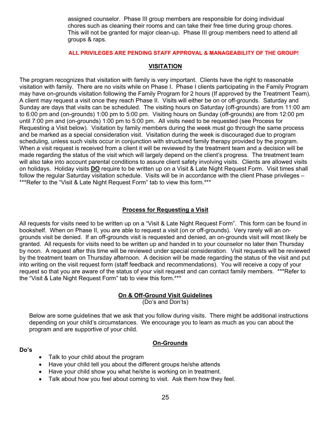assigned counselor. Phase III group members are responsible for doing individual chores such as cleaning their rooms and can take their free time during group chores. This will not be granted for major clean-up. Phase III group members need to attend all groups & raps.

#### **ALL PRIVILEGES ARE PENDING STAFF APPROVAL & MANAGEABILITY OF THE GROUP!**

#### **VISITATION**

The program recognizes that visitation with family is very important. Clients have the right to reasonable visitation with family. There are no visits while on Phase I. Phase I clients participating in the Family Program may have on-grounds visitation following the Family Program for 2 hours (If approved by the Treatment Team). A client may request a visit once they reach Phase II. Visits will either be on or off-grounds. Saturday and Sunday are days that visits can be scheduled. The visiting hours on Saturday (off-grounds) are from 11:00 am to 6:00 pm and (on-grounds) 1:00 pm to 5:00 pm. Visiting hours on Sunday (off-grounds) are from 12:00 pm until 7:00 pm and (on-grounds) 1:00 pm to 5:00 pm. All visits need to be requested (see Process for Requesting a Visit below). Visitation by family members during the week must go through the same process and be marked as a special consideration visit. Visitation during the week is discouraged due to program scheduling, unless such visits occur in conjunction with structured family therapy provided by the program. When a visit request is received from a client it will be reviewed by the treatment team and a decision will be made regarding the status of the visit which will largely depend on the client's progress. The treatment team will also take into account parental conditions to assure client safety involving visits. Clients are allowed visits on holidays. Holiday visits **DO** require to be written up on a Visit & Late Night Request Form. Visit times shall follow the regular Saturday visitation schedule. Visits will be in accordance with the client Phase privileges – \*\*\*Refer to the "Visit & Late Night Request Form" tab to view this form.\*\*\*

#### **Process for Requesting a Visit**

All requests for visits need to be written up on a "Visit & Late Night Request Form". This form can be found in bookshelf. When on Phase II, you are able to request a visit (on or off-grounds). Very rarely will an ongrounds visit be denied. If an off-grounds visit is requested and denied, an on-grounds visit will most likely be granted. All requests for visits need to be written up and handed in to your counselor no later then Thursday by noon. A request after this time will be reviewed under special consideration. Visit requests will be reviewed by the treatment team on Thursday afternoon. A decision will be made regarding the status of the visit and put into writing on the visit request form (staff feedback and recommendations). You will receive a copy of your request so that you are aware of the status of your visit request and can contact family members. \*\*\*Refer to the "Visit & Late Night Request Form" tab to view this form.\*\*\*

# **On & Off-Ground Visit Guidelines**

(Do's and Don'ts)

Below are some guidelines that we ask that you follow during visits. There might be additional instructions depending on your child's circumstances. We encourage you to learn as much as you can about the program and are supportive of your child.

#### **Do's**

# **On-Grounds**

- Talk to your child about the program
- Have your child tell you about the different groups he/she attends
- Have your child show you what he/she is working on in treatment.
- Talk about how you feel about coming to visit. Ask them how they feel.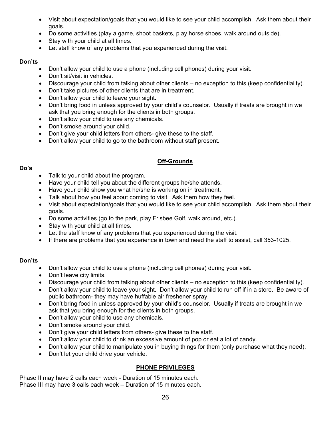- Visit about expectation/goals that you would like to see your child accomplish. Ask them about their goals.
- Do some activities (play a game, shoot baskets, play horse shoes, walk around outside).
- Stay with your child at all times.
- Let staff know of any problems that you experienced during the visit.

#### **Don'ts**

- Don't allow your child to use a phone (including cell phones) during your visit.
- Don't sit/visit in vehicles.
- Discourage your child from talking about other clients no exception to this (keep confidentiality).
- Don't take pictures of other clients that are in treatment.
- Don't allow your child to leave your sight.
- Don't bring food in unless approved by your child's counselor. Usually if treats are brought in we ask that you bring enough for the clients in both groups.
- Don't allow your child to use any chemicals.
- Don't smoke around your child.
- Don't give your child letters from others- give these to the staff.
- Don't allow your child to go to the bathroom without staff present.

# **Off-Grounds**

#### **Do's**

- Talk to your child about the program.
- Have your child tell you about the different groups he/she attends.
- Have your child show you what he/she is working on in treatment.
- Talk about how you feel about coming to visit. Ask them how they feel.
- Visit about expectation/goals that you would like to see your child accomplish. Ask them about their goals.
- Do some activities (go to the park, play Frisbee Golf, walk around, etc.).
- Stay with your child at all times.
- Let the staff know of any problems that you experienced during the visit.
- If there are problems that you experience in town and need the staff to assist, call 353-1025.

# **Don'ts**

- Don't allow your child to use a phone (including cell phones) during your visit.
- Don't leave city limits.
- Discourage your child from talking about other clients no exception to this (keep confidentiality).
- Don't allow your child to leave your sight. Don't allow your child to run off if in a store. Be aware of public bathroom- they may have huffable air freshener spray.
- Don't bring food in unless approved by your child's counselor. Usually if treats are brought in we ask that you bring enough for the clients in both groups.
- Don't allow your child to use any chemicals.
- Don't smoke around your child.
- Don't give your child letters from others- give these to the staff.
- Don't allow your child to drink an excessive amount of pop or eat a lot of candy.
- Don't allow your child to manipulate you in buying things for them (only purchase what they need).
- Don't let your child drive your vehicle.

# **PHONE PRIVILEGES**

Phase II may have 2 calls each week - Duration of 15 minutes each. Phase III may have 3 calls each week – Duration of 15 minutes each.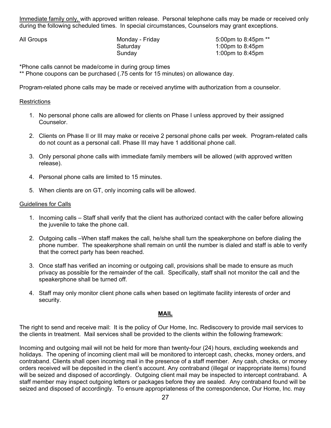Immediate family only, with approved written release. Personal telephone calls may be made or received only during the following scheduled times. In special circumstances, Counselors may grant exceptions.

All Groups **Monday - Friday 19th** Study 5:00pm to 8:45pm \*\* Saturday 1:00pm to 8:45pm Sunday 1:00pm to 8:45pm

\*Phone calls cannot be made/come in during group times

\*\* Phone coupons can be purchased (.75 cents for 15 minutes) on allowance day.

Program-related phone calls may be made or received anytime with authorization from a counselor.

# **Restrictions**

- 1. No personal phone calls are allowed for clients on Phase I unless approved by their assigned Counselor.
- 2. Clients on Phase II or III may make or receive 2 personal phone calls per week. Program-related calls do not count as a personal call. Phase III may have 1 additional phone call.
- 3. Only personal phone calls with immediate family members will be allowed (with approved written release).
- 4. Personal phone calls are limited to 15 minutes.
- 5. When clients are on GT, only incoming calls will be allowed.

#### Guidelines for Calls

- 1. Incoming calls Staff shall verify that the client has authorized contact with the caller before allowing the juvenile to take the phone call.
- 2. Outgoing calls –When staff makes the call, he/she shall turn the speakerphone on before dialing the phone number. The speakerphone shall remain on until the number is dialed and staff is able to verify that the correct party has been reached.
- 3. Once staff has verified an incoming or outgoing call, provisions shall be made to ensure as much privacy as possible for the remainder of the call. Specifically, staff shall not monitor the call and the speakerphone shall be turned off.
- 4. Staff may only monitor client phone calls when based on legitimate facility interests of order and security.

# **MAIL**

The right to send and receive mail: It is the policy of Our Home, Inc. Rediscovery to provide mail services to the clients in treatment. Mail services shall be provided to the clients within the following framework:

Incoming and outgoing mail will not be held for more than twenty-four (24) hours, excluding weekends and holidays. The opening of incoming client mail will be monitored to intercept cash, checks, money orders, and contraband. Clients shall open incoming mail in the presence of a staff member. Any cash, checks, or money orders received will be deposited in the client's account. Any contraband (illegal or inappropriate items) found will be seized and disposed of accordingly. Outgoing client mail may be inspected to intercept contraband. A staff member may inspect outgoing letters or packages before they are sealed. Any contraband found will be seized and disposed of accordingly. To ensure appropriateness of the correspondence, Our Home, Inc. may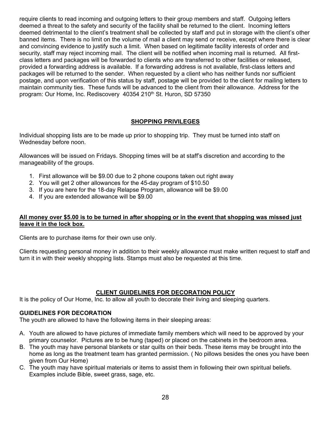require clients to read incoming and outgoing letters to their group members and staff. Outgoing letters deemed a threat to the safety and security of the facility shall be returned to the client. Incoming letters deemed detrimental to the client's treatment shall be collected by staff and put in storage with the client's other banned items. There is no limit on the volume of mail a client may send or receive, except where there is clear and convincing evidence to justify such a limit. When based on legitimate facility interests of order and security, staff may reject incoming mail. The client will be notified when incoming mail is returned. All firstclass letters and packages will be forwarded to clients who are transferred to other facilities or released, provided a forwarding address is available. If a forwarding address is not available, first-class letters and packages will be returned to the sender. When requested by a client who has neither funds nor sufficient postage, and upon verification of this status by staff, postage will be provided to the client for mailing letters to maintain community ties. These funds will be advanced to the client from their allowance. Address for the program: Our Home, Inc. Rediscovery 40354 210<sup>th</sup> St. Huron, SD 57350

# **SHOPPING PRIVILEGES**

Individual shopping lists are to be made up prior to shopping trip. They must be turned into staff on Wednesday before noon.

Allowances will be issued on Fridays. Shopping times will be at staff's discretion and according to the manageability of the groups.

- 1. First allowance will be \$9.00 due to 2 phone coupons taken out right away
- 2. You will get 2 other allowances for the 45-day program of \$10.50
- 3. If you are here for the 18-day Relapse Program, allowance will be \$9.00
- 4. If you are extended allowance will be \$9.00

#### **All money over \$5.00 is to be turned in after shopping or in the event that shopping was missed just leave it in the lock box.**

Clients are to purchase items for their own use only.

Clients requesting personal money in addition to their weekly allowance must make written request to staff and turn it in with their weekly shopping lists. Stamps must also be requested at this time.

# **CLIENT GUIDELINES FOR DECORATION POLICY**

It is the policy of Our Home, Inc. to allow all youth to decorate their living and sleeping quarters.

#### **GUIDELINES FOR DECORATION**

The youth are allowed to have the following items in their sleeping areas:

- A. Youth are allowed to have pictures of immediate family members which will need to be approved by your primary counselor. Pictures are to be hung (taped) or placed on the cabinets in the bedroom area.
- B. The youth may have personal blankets or star quilts on their beds. These items may be brought into the home as long as the treatment team has granted permission. ( No pillows besides the ones you have been given from Our Home)
- C. The youth may have spiritual materials or items to assist them in following their own spiritual beliefs. Examples include Bible, sweet grass, sage, etc.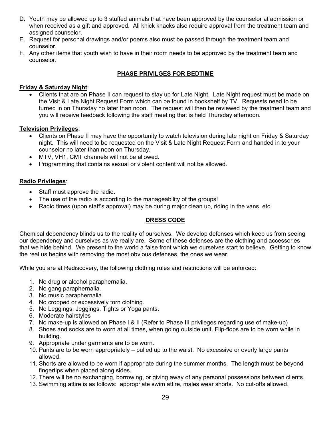- D. Youth may be allowed up to 3 stuffed animals that have been approved by the counselor at admission or when received as a gift and approved. All knick knacks also require approval from the treatment team and assigned counselor.
- E. Request for personal drawings and/or poems also must be passed through the treatment team and counselor.
- F. Any other items that youth wish to have in their room needs to be approved by the treatment team and counselor.

# **PHASE PRIVILGES FOR BEDTIME**

# **Friday & Saturday Night**:

 Clients that are on Phase II can request to stay up for Late Night. Late Night request must be made on the Visit & Late Night Request Form which can be found in bookshelf by TV. Requests need to be turned in on Thursday no later than noon. The request will then be reviewed by the treatment team and you will receive feedback following the staff meeting that is held Thursday afternoon.

# **Television Privileges**:

- Clients on Phase II may have the opportunity to watch television during late night on Friday & Saturday night. This will need to be requested on the Visit & Late Night Request Form and handed in to your counselor no later than noon on Thursday.
- MTV, VH1, CMT channels will not be allowed.
- Programming that contains sexual or violent content will not be allowed.

# **Radio Privileges**:

- Staff must approve the radio.
- The use of the radio is according to the manageability of the groups!
- Radio times (upon staff's approval) may be during major clean up, riding in the vans, etc.

# **DRESS CODE**

Chemical dependency blinds us to the reality of ourselves. We develop defenses which keep us from seeing our dependency and ourselves as we really are. Some of these defenses are the clothing and accessories that we hide behind. We present to the world a false front which we ourselves start to believe. Getting to know the real us begins with removing the most obvious defenses, the ones we wear.

While you are at Rediscovery, the following clothing rules and restrictions will be enforced:

- 1. No drug or alcohol paraphernalia.
- 2. No gang paraphernalia.
- 3. No music paraphernalia.
- 4. No cropped or excessively torn clothing.
- 5. No Leggings, Jeggings, Tights or Yoga pants.
- 6. Moderate hairstyles
- 7. No make-up is allowed on Phase I & II (Refer to Phase III privileges regarding use of make-up)
- 8. Shoes and socks are to worn at all times, when going outside unit. Flip-flops are to be worn while in building.
- 9. Appropriate under garments are to be worn.
- 10. Pants are to be worn appropriately pulled up to the waist. No excessive or overly large pants allowed.
- 11. Shorts are allowed to be worn if appropriate during the summer months. The length must be beyond fingertips when placed along sides.
- 12. There will be no exchanging, borrowing, or giving away of any personal possessions between clients.
- 13. Swimming attire is as follows: appropriate swim attire, males wear shorts. No cut-offs allowed.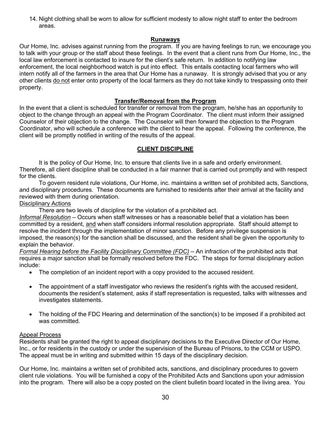14. Night clothing shall be worn to allow for sufficient modesty to allow night staff to enter the bedroom areas.

# **Runaways**

Our Home, Inc. advises against running from the program. If you are having feelings to run, we encourage you to talk with your group or the staff about these feelings. In the event that a client runs from Our Home, Inc., the local law enforcement is contacted to insure for the client's safe return. In addition to notifying law enforcement, the local neighborhood watch is put into effect. This entails contacting local farmers who will intern notify all of the farmers in the area that Our Home has a runaway. It is strongly advised that you or any other clients do not enter onto property of the local farmers as they do not take kindly to trespassing onto their property.

# **Transfer/Removal from the Program**

In the event that a client is scheduled for transfer or removal from the program, he/she has an opportunity to object to the change through an appeal with the Program Coordinator. The client must inform their assigned Counselor of their objection to the change. The Counselor will then forward the objection to the Program Coordinator, who will schedule a conference with the client to hear the appeal. Following the conference, the client will be promptly notified in writing of the results of the appeal.

# **CLIENT DISCIPLINE**

It is the policy of Our Home, Inc. to ensure that clients live in a safe and orderly environment. Therefore, all client discipline shall be conducted in a fair manner that is carried out promptly and with respect for the clients.

To govern resident rule violations, Our Home, inc. maintains a written set of prohibited acts, Sanctions, and disciplinary procedures. These documents are furnished to residents after their arrival at the facility and reviewed with them during orientation.

# Disciplinary Actions

There are two levels of discipline for the violation of a prohibited act.

*Informal Resolution* – Occurs when staff witnesses or has a reasonable belief that a violation has been committed by a resident, and when staff considers informal resolution appropriate. Staff should attempt to resolve the incident through the implementation of minor sanction. Before any privilege suspension is imposed, the reason(s) for the sanction shall be discussed, and the resident shall be given the opportunity to explain the behavior.

*Formal Hearing before the Facility Disciplinary Committee (FDC)* – An infraction of the prohibited acts that requires a major sanction shall be formally resolved before the FDC. The steps for formal disciplinary action include:

- The completion of an incident report with a copy provided to the accused resident.
- The appointment of a staff investigator who reviews the resident's rights with the accused resident, documents the resident's statement, asks if staff representation is requested, talks with witnesses and investigates statements.
- The holding of the FDC Hearing and determination of the sanction(s) to be imposed if a prohibited act was committed.

# Appeal Process

Residents shall be granted the right to appeal disciplinary decisions to the Executive Director of Our Home, Inc., or for residents in the custody or under the supervision of the Bureau of Prisons, to the CCM or USPO. The appeal must be in writing and submitted within 15 days of the disciplinary decision.

Our Home, Inc. maintains a written set of prohibited acts, sanctions, and disciplinary procedures to govern client rule violations. You will be furnished a copy of the Prohibited Acts and Sanctions upon your admission into the program. There will also be a copy posted on the client bulletin board located in the living area. You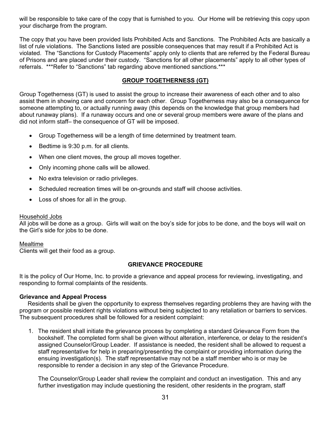will be responsible to take care of the copy that is furnished to you. Our Home will be retrieving this copy upon your discharge from the program.

The copy that you have been provided lists Prohibited Acts and Sanctions. The Prohibited Acts are basically a list of rule violations. The Sanctions listed are possible consequences that may result if a Prohibited Act is violated. The "Sanctions for Custody Placements" apply only to clients that are referred by the Federal Bureau of Prisons and are placed under their custody. "Sanctions for all other placements" apply to all other types of referrals. \*\*\*Refer to "Sanctions" tab regarding above mentioned sanctions.\*\*\*

#### **GROUP TOGETHERNESS (GT)**

Group Togetherness (GT) is used to assist the group to increase their awareness of each other and to also assist them in showing care and concern for each other. Group Togetherness may also be a consequence for someone attempting to, or actually running away (this depends on the knowledge that group members had about runaway plans). If a runaway occurs and one or several group members were aware of the plans and did not inform staff– the consequence of GT will be imposed.

- Group Togetherness will be a length of time determined by treatment team.
- Bedtime is 9:30 p.m. for all clients.
- When one client moves, the group all moves together.
- Only incoming phone calls will be allowed.
- No extra television or radio privileges.
- Scheduled recreation times will be on-grounds and staff will choose activities.
- Loss of shoes for all in the group.

#### Household Jobs

All jobs will be done as a group. Girls will wait on the boy's side for jobs to be done, and the boys will wait on the Girl's side for jobs to be done.

#### Mealtime

Clients will get their food as a group.

#### **GRIEVANCE PROCEDURE**

It is the policy of Our Home, Inc. to provide a grievance and appeal process for reviewing, investigating, and responding to formal complaints of the residents.

#### **Grievance and Appeal Process**

 Residents shall be given the opportunity to express themselves regarding problems they are having with the program or possible resident rights violations without being subjected to any retaliation or barriers to services. The subsequent procedures shall be followed for a resident complaint:

1. The resident shall initiate the grievance process by completing a standard Grievance Form from the bookshelf. The completed form shall be given without alteration, interference, or delay to the resident's assigned Counselor/Group Leader. If assistance is needed, the resident shall be allowed to request a staff representative for help in preparing/presenting the complaint or providing information during the ensuing investigation(s). The staff representative may not be a staff member who is or may be responsible to render a decision in any step of the Grievance Procedure.

The Counselor/Group Leader shall review the complaint and conduct an investigation. This and any further investigation may include questioning the resident, other residents in the program, staff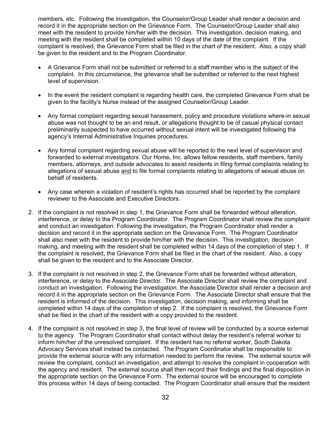members, etc. Following the investigation, the Counselor/Group Leader shall render a decision and record it in the appropriate section on the Grievance Form. The Counselor/Group Leader shall also meet with the resident to provide him/her with the decision. This investigation, decision making, and meeting with the resident shall be completed within 10 days of the date of the complaint. If the complaint is resolved, the Grievance Form shall be filed in the chart of the resident. Also, a copy shall be given to the resident and to the Program Coordinator.

- A Grievance Form shall not be submitted or referred to a staff member who is the subject of the complaint. In this circumstance, the grievance shall be submitted or referred to the next highest level of supervision.
- In the event the resident complaint is regarding health care, the completed Grievance Form shall be given to the facility's Nurse instead of the assigned Counselor/Group Leader.
- Any formal complaint regarding sexual harassment, policy and procedure violations where-in sexual abuse was not thought to be an end result, or allegations thought to be of casual physical contact preliminarily suspected to have occurred without sexual intent will be investigated following the agency's Internal Administrative Inquiries procedures.
- Any formal complaint regarding sexual abuse will be reported to the next level of supervision and forwarded to external investigators. Our Home, Inc. allows fellow residents, staff members, family members, attorneys, and outside advocates to assist residents in filing formal complaints relating to allegations of sexual abuse and to file formal complaints relating to allegations of sexual abuse on behalf of residents.
- Any case wherein a violation of resident's rights has occurred shall be reported by the complaint reviewer to the Associate and Executive Directors.
- 2. If the complaint is not resolved in step 1, the Grievance Form shall be forwarded without alteration, interference, or delay to the Program Coordinator. The Program Coordinator shall review the complaint and conduct an investigation. Following the investigation, the Program Coordinator shall render a decision and record it in the appropriate section on the Grievance Form. The Program Coordinator shall also meet with the resident to provide him/her with the decision. This investigation, decision making, and meeting with the resident shall be completed within 14 days of the completion of step 1. If the complaint is resolved, the Grievance Form shall be filed in the chart of the resident. Also, a copy shall be given to the resident and to the Associate Director.
- 3. If the complaint is not resolved in step 2, the Grievance Form shall be forwarded without alteration, interference, or delay to the Associate Director. The Associate Director shall review the complaint and conduct an investigation. Following the investigation, the Associate Director shall render a decision and record it in the appropriate section on the Grievance Form. The Associate Director shall ensure that the resident is informed of the decision. This investigation, decision making, and informing shall be completed within 14 days of the completion of step 2. If the complaint is resolved, the Grievance Form shall be filed in the chart of the resident with a copy provided to the resident.
- 4. If the complaint is not resolved in step 3, the final level of review will be conducted by a source external to the agency. The Program Coordinator shall contact without delay the resident's referral worker to inform him/her of the unresolved complaint. If the resident has no referral worker, South Dakota Advocacy Services shall instead be contacted. The Program Coordinator shall be responsible to provide the external source with any information needed to perform the review. The external source will review the complaint, conduct an investigation, and attempt to resolve the complaint in cooperation with the agency and resident. The external source shall then record their findings and the final disposition in the appropriate section on the Grievance Form. The external source will be encouraged to complete this process within 14 days of being contacted. The Program Coordinator shall ensure that the resident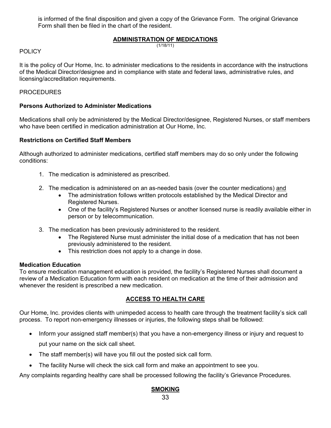is informed of the final disposition and given a copy of the Grievance Form. The original Grievance Form shall then be filed in the chart of the resident.

# **ADMINISTRATION OF MEDICATIONS**

(1/18/11)

#### **POLICY**

It is the policy of Our Home, Inc. to administer medications to the residents in accordance with the instructions of the Medical Director/designee and in compliance with state and federal laws, administrative rules, and licensing/accreditation requirements.

#### **PROCEDURES**

#### **Persons Authorized to Administer Medications**

Medications shall only be administered by the Medical Director/designee, Registered Nurses, or staff members who have been certified in medication administration at Our Home, Inc.

#### **Restrictions on Certified Staff Members**

Although authorized to administer medications, certified staff members may do so only under the following conditions:

- 1. The medication is administered as prescribed.
- 2. The medication is administered on an as-needed basis (over the counter medications) and
	- The administration follows written protocols established by the Medical Director and Registered Nurses.
	- One of the facility's Registered Nurses or another licensed nurse is readily available either in person or by telecommunication.
- 3. The medication has been previously administered to the resident.
	- The Registered Nurse must administer the initial dose of a medication that has not been previously administered to the resident.
	- This restriction does not apply to a change in dose.

#### **Medication Education**

To ensure medication management education is provided, the facility's Registered Nurses shall document a review of a Medication Education form with each resident on medication at the time of their admission and whenever the resident is prescribed a new medication.

# **ACCESS TO HEALTH CARE**

Our Home, Inc. provides clients with unimpeded access to health care through the treatment facility's sick call process. To report non-emergency illnesses or injuries, the following steps shall be followed:

- Inform your assigned staff member(s) that you have a non-emergency illness or injury and request to put your name on the sick call sheet.
- The staff member(s) will have you fill out the posted sick call form.
- The facility Nurse will check the sick call form and make an appointment to see you.

Any complaints regarding healthy care shall be processed following the facility's Grievance Procedures.

# **SMOKING**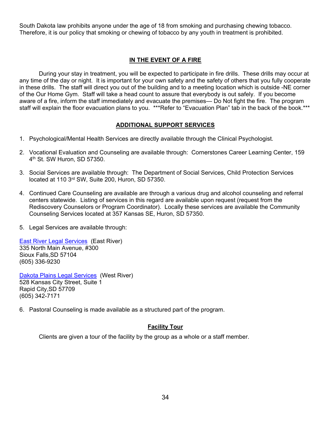South Dakota law prohibits anyone under the age of 18 from smoking and purchasing chewing tobacco. Therefore, it is our policy that smoking or chewing of tobacco by any youth in treatment is prohibited.

# **IN THE EVENT OF A FIRE**

 During your stay in treatment, you will be expected to participate in fire drills. These drills may occur at any time of the day or night. It is important for your own safety and the safety of others that you fully cooperate in these drills. The staff will direct you out of the building and to a meeting location which is outside -NE corner of the Our Home Gym. Staff will take a head count to assure that everybody is out safely. If you become aware of a fire, inform the staff immediately and evacuate the premises— Do Not fight the fire. The program staff will explain the floor evacuation plans to you. \*\*\*Refer to "Evacuation Plan" tab in the back of the book.\*\*\*

# **ADDITIONAL SUPPORT SERVICES**

- 1. Psychological/Mental Health Services are directly available through the Clinical Psychologist.
- 2. Vocational Evaluation and Counseling are available through: Cornerstones Career Learning Center, 159 4th St. SW Huron, SD 57350.
- 3. Social Services are available through: The Department of Social Services, Child Protection Services located at 110 3rd SW, Suite 200, Huron, SD 57350.
- 4. Continued Care Counseling are available are through a various drug and alcohol counseling and referral centers statewide. Listing of services in this regard are available upon request (request from the Rediscovery Counselors or Program Coordinator). Locally these services are available the Community Counseling Services located at 357 Kansas SE, Huron, SD 57350.
- 5. Legal Services are available through:

East River Legal Services (East River) 335 North Main Avenue, #300 Sioux Falls,SD 57104 (605) 336-9230

Dakota Plains Legal Services (West River) 528 Kansas City Street, Suite 1 Rapid City,SD 57709 (605) 342-7171

6. Pastoral Counseling is made available as a structured part of the program.

# **Facility Tour**

Clients are given a tour of the facility by the group as a whole or a staff member.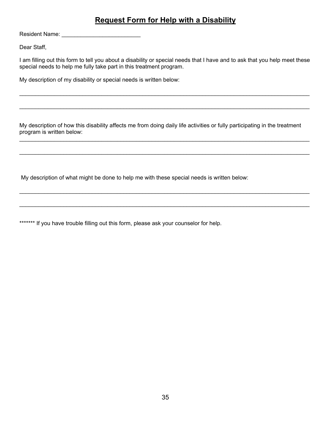# **Request Form for Help with a Disability**

Resident Name: \_\_\_\_\_\_\_\_\_\_\_\_\_\_\_\_\_\_\_\_\_\_\_\_\_

Dear Staff,

I am filling out this form to tell you about a disability or special needs that I have and to ask that you help meet these special needs to help me fully take part in this treatment program.

 $\mathcal{L}_\mathcal{L} = \mathcal{L}_\mathcal{L} = \mathcal{L}_\mathcal{L} = \mathcal{L}_\mathcal{L} = \mathcal{L}_\mathcal{L} = \mathcal{L}_\mathcal{L} = \mathcal{L}_\mathcal{L} = \mathcal{L}_\mathcal{L} = \mathcal{L}_\mathcal{L} = \mathcal{L}_\mathcal{L} = \mathcal{L}_\mathcal{L} = \mathcal{L}_\mathcal{L} = \mathcal{L}_\mathcal{L} = \mathcal{L}_\mathcal{L} = \mathcal{L}_\mathcal{L} = \mathcal{L}_\mathcal{L} = \mathcal{L}_\mathcal{L}$ 

 $\mathcal{L}_\mathcal{L} = \mathcal{L}_\mathcal{L} = \mathcal{L}_\mathcal{L} = \mathcal{L}_\mathcal{L} = \mathcal{L}_\mathcal{L} = \mathcal{L}_\mathcal{L} = \mathcal{L}_\mathcal{L} = \mathcal{L}_\mathcal{L} = \mathcal{L}_\mathcal{L} = \mathcal{L}_\mathcal{L} = \mathcal{L}_\mathcal{L} = \mathcal{L}_\mathcal{L} = \mathcal{L}_\mathcal{L} = \mathcal{L}_\mathcal{L} = \mathcal{L}_\mathcal{L} = \mathcal{L}_\mathcal{L} = \mathcal{L}_\mathcal{L}$ 

My description of my disability or special needs is written below:

My description of how this disability affects me from doing daily life activities or fully participating in the treatment program is written below:

 $\mathcal{L}_\mathcal{L} = \mathcal{L}_\mathcal{L} = \mathcal{L}_\mathcal{L} = \mathcal{L}_\mathcal{L} = \mathcal{L}_\mathcal{L} = \mathcal{L}_\mathcal{L} = \mathcal{L}_\mathcal{L} = \mathcal{L}_\mathcal{L} = \mathcal{L}_\mathcal{L} = \mathcal{L}_\mathcal{L} = \mathcal{L}_\mathcal{L} = \mathcal{L}_\mathcal{L} = \mathcal{L}_\mathcal{L} = \mathcal{L}_\mathcal{L} = \mathcal{L}_\mathcal{L} = \mathcal{L}_\mathcal{L} = \mathcal{L}_\mathcal{L}$ 

 $\mathcal{L}_\mathcal{L} = \mathcal{L}_\mathcal{L} = \mathcal{L}_\mathcal{L} = \mathcal{L}_\mathcal{L} = \mathcal{L}_\mathcal{L} = \mathcal{L}_\mathcal{L} = \mathcal{L}_\mathcal{L} = \mathcal{L}_\mathcal{L} = \mathcal{L}_\mathcal{L} = \mathcal{L}_\mathcal{L} = \mathcal{L}_\mathcal{L} = \mathcal{L}_\mathcal{L} = \mathcal{L}_\mathcal{L} = \mathcal{L}_\mathcal{L} = \mathcal{L}_\mathcal{L} = \mathcal{L}_\mathcal{L} = \mathcal{L}_\mathcal{L}$ 

My description of what might be done to help me with these special needs is written below:

\*\*\*\*\*\*\* If you have trouble filling out this form, please ask your counselor for help.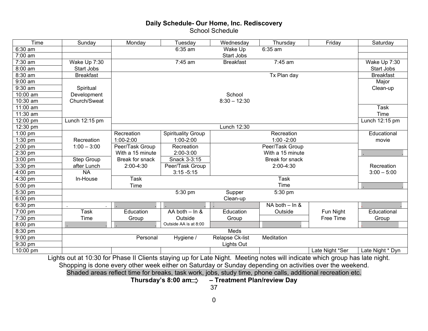# **Daily Schedule- Our Home, Inc. Rediscovery**  School Schedule

| Time      | Sunday            | Monday           | Tuesday                   | Wednesday         | Thursday               | Friday          | Saturday         |
|-----------|-------------------|------------------|---------------------------|-------------------|------------------------|-----------------|------------------|
| $6:30$ am |                   |                  | 6:35 am                   | Wake Up           | $6:35$ am              |                 |                  |
| 7:00 am   |                   |                  |                           | Start Jobs        |                        |                 |                  |
| 7:30 am   | Wake Up 7:30      |                  | 7:45 am                   | <b>Breakfast</b>  | 7:45 am                |                 | Wake Up 7:30     |
| 8:00 am   | Start Jobs        |                  |                           |                   |                        |                 | Start Jobs       |
| 8:30 am   | <b>Breakfast</b>  |                  |                           |                   | Tx Plan day            |                 | <b>Breakfast</b> |
| $9:00$ am |                   |                  |                           |                   |                        |                 | Major            |
| 9:30 am   | Spiritual         |                  |                           |                   |                        |                 | Clean-up         |
| 10:00 am  | Development       |                  |                           | School            |                        |                 |                  |
| 10:30 am  | Church/Sweat      |                  |                           | $8:30 - 12:30$    |                        |                 |                  |
| 11:00 am  |                   |                  |                           |                   |                        |                 | <b>Task</b>      |
| 11:30 am  |                   |                  |                           |                   |                        |                 | Time             |
| 12:00 pm  | Lunch 12:15 pm    |                  |                           |                   |                        |                 | Lunch 12:15 pm   |
| 12:30 pm  |                   |                  |                           | Lunch 12:30       |                        |                 |                  |
| $1:00$ pm |                   | Recreation       | <b>Spirituality Group</b> |                   | Recreation             |                 | Educational      |
| $1:30$ pm | Recreation        | $1:00 - 2:00$    | 1:00-2:00                 |                   | $1:00 - 2:00$          |                 | movie            |
| 2:00 pm   | $1:00 - 3:00$     | Peer/Task Group  | Recreation                |                   | Peer/Task Group        |                 |                  |
| 2:30 pm   |                   | With a 15 minute | 2:00-3:00                 |                   | With a 15 minute       |                 |                  |
| 3:00 pm   | <b>Step Group</b> | Break for snack  | Snack 3-3:15              |                   | <b>Break for snack</b> |                 |                  |
| 3:30 pm   | after Lunch       | 2:00-4:30        | Peer/Task Group           |                   | 2:00-4:30              |                 | Recreation       |
| 4:00 pm   | N <sub>A</sub>    |                  | $3:15 - 5:15$             |                   |                        |                 | $3:00 - 5:00$    |
| 4:30 pm   | In-House          | <b>Task</b>      |                           |                   | <b>Task</b>            |                 |                  |
| 5:00 pm   |                   | Time             |                           |                   | Time                   |                 |                  |
| 5:30 pm   |                   |                  | 5:30 pm                   | Supper            | 5:30 pm                |                 |                  |
| 6:00 pm   |                   |                  |                           | Clean-up          |                        |                 |                  |
| 6:30 pm   |                   |                  |                           |                   | $NA$ both $-$ ln &     |                 |                  |
| 7:00 pm   | <b>Task</b>       | Education        | AA both - In &            | Education         | Outside                | Fun Night       | Educational      |
| 7:30 pm   | Time              | Group            | Outside                   | Group             |                        | Free Time       | Group            |
| 8:00 pm   |                   |                  | Outside AA is at 8:00     |                   |                        |                 |                  |
| 8:30 pm   |                   |                  |                           | Meds              |                        |                 |                  |
| 9:00 pm   |                   | Personal         | Hygiene /                 | Relapse Ck-list   | Meditation             |                 |                  |
| 9:30 pm   |                   |                  |                           | <b>Lights Out</b> |                        |                 |                  |
| 10:00 pm  |                   |                  |                           |                   |                        | Late Night *Ser | Late Night * Dyn |

Lights out at 10:30 for Phase II Clients staying up for Late Night. Meeting notes will indicate which group has late night. Shopping is done every other week either on Saturday or Sunday depending on activities over the weekend. Shaded areas reflect time for breaks, task work, jobs, study time, phone calls, additional recreation etc.

Thursday's 8:00 am > - Treatment Plan/review Day

37